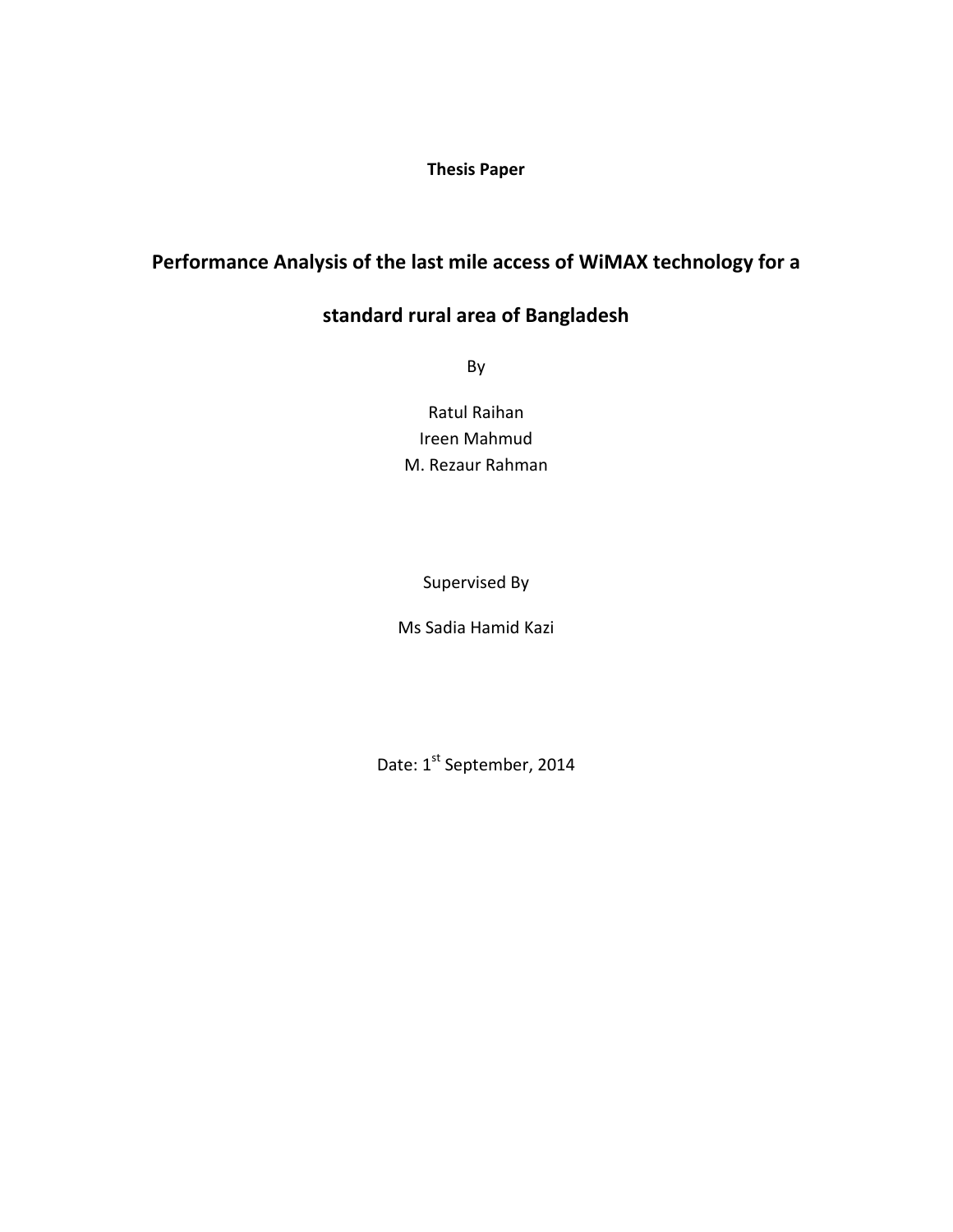**Thesis Paper**

# **Performance Analysis of the last mile access of WiMAX technology for a**

# **standard rural area of Bangladesh**

By

Ratul Raihan Ireen Mahmud M. Rezaur Rahman

Supervised By

Ms Sadia Hamid Kazi

Date: 1st September, 2014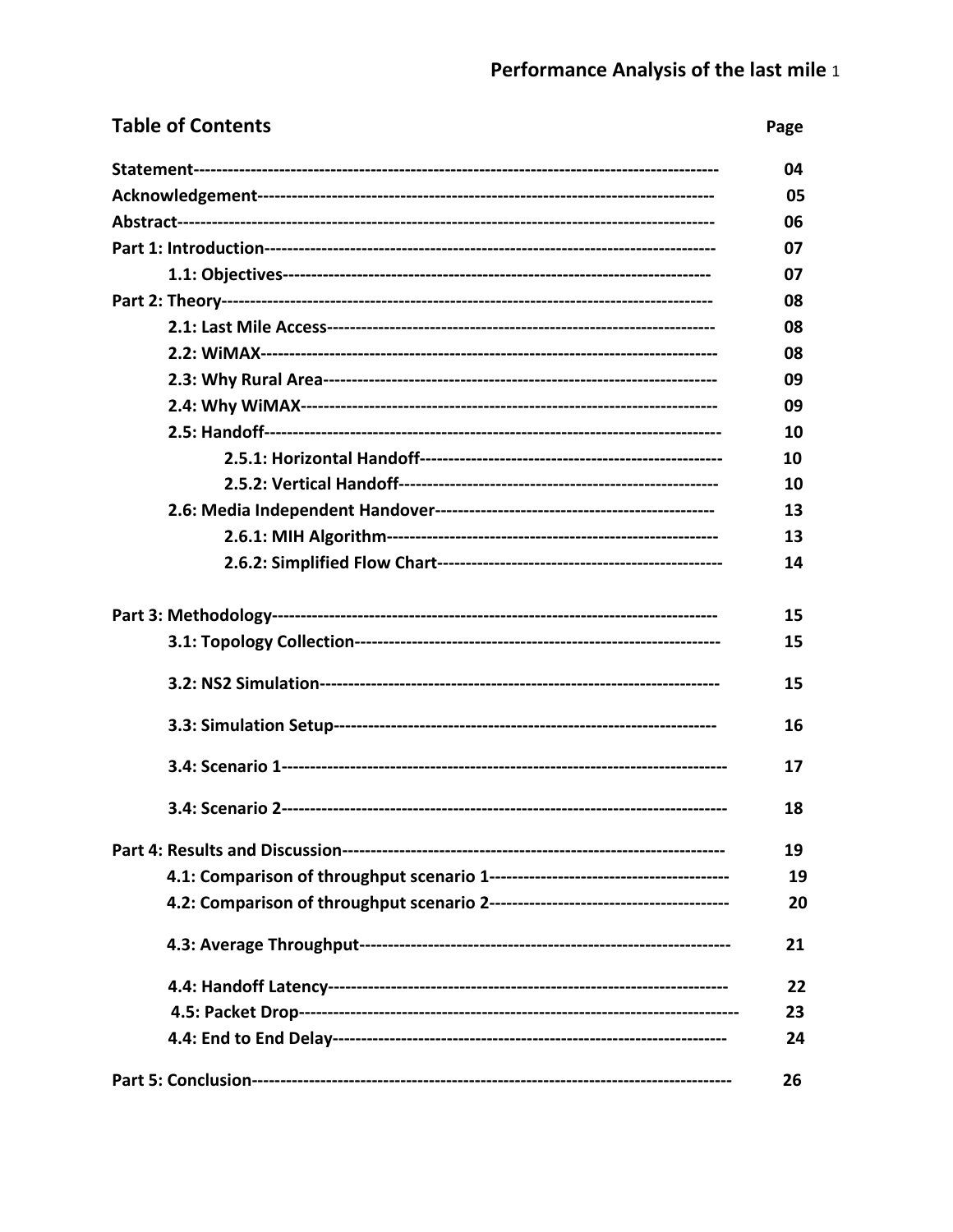| <b>Table of Contents</b> | Page |
|--------------------------|------|
|                          | 04   |
|                          | 05   |
|                          | 06   |
|                          | 07   |
|                          | 07   |
|                          | 08   |
|                          | 08   |
|                          | 08   |
|                          | 09   |
|                          | 09   |
|                          | 10   |
|                          | 10   |
|                          | 10   |
|                          | 13   |
|                          | 13   |
|                          | 14   |
|                          | 15   |
|                          | 15   |
|                          | 15   |
|                          | 16   |
|                          | 17   |
|                          | 18   |
|                          | 19   |
|                          | 19   |
|                          | 20   |
|                          | 21   |
|                          | 22   |
|                          | 23   |
|                          | 24   |
|                          | 26   |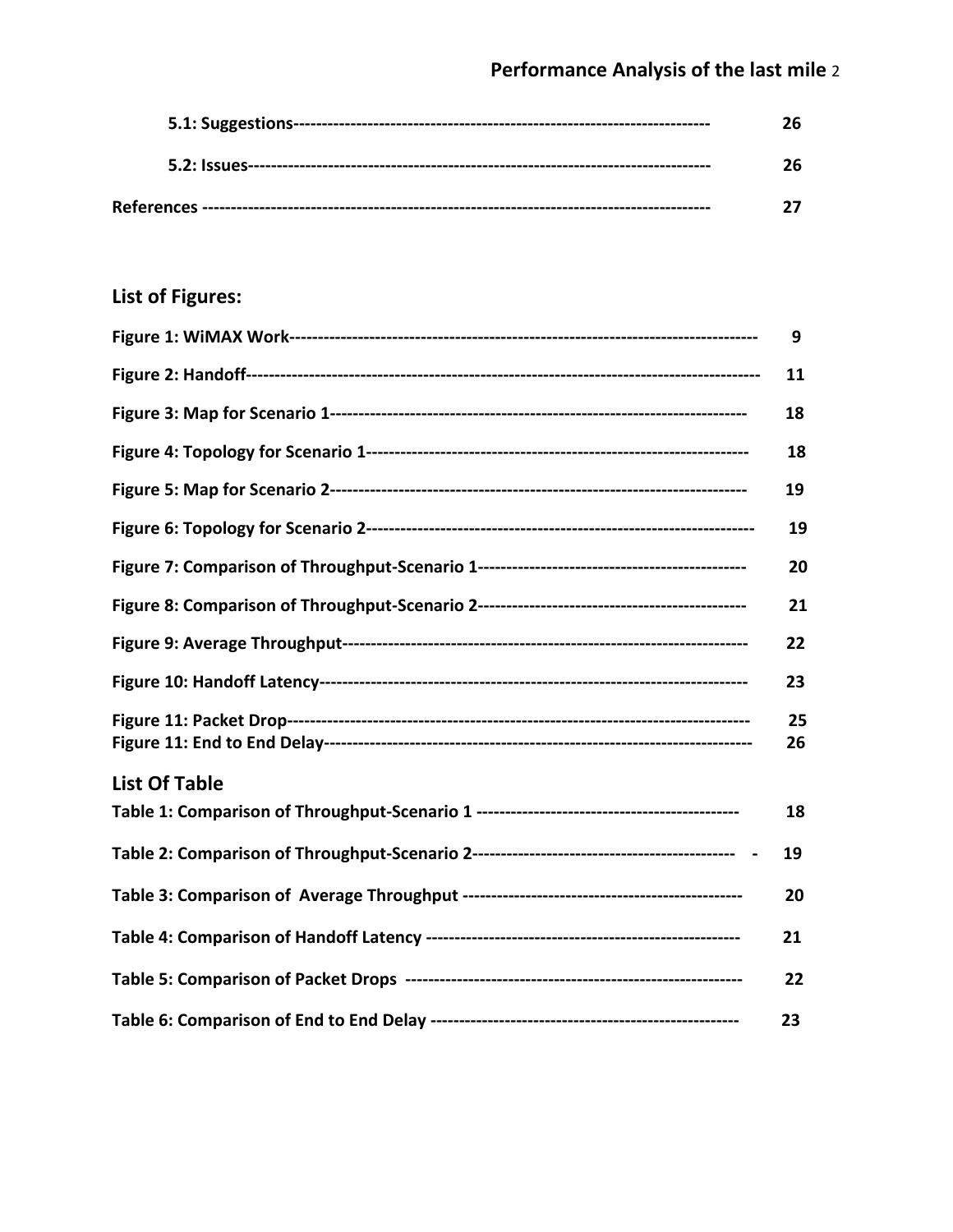# **List of Figures:**

|                      | 9        |
|----------------------|----------|
|                      | 11       |
|                      | 18       |
|                      | 18       |
|                      | 19       |
|                      | 19       |
|                      | 20       |
|                      | 21       |
|                      | 22       |
|                      | 23       |
|                      | 25<br>26 |
| <b>List Of Table</b> |          |
|                      | 18       |
|                      | 19       |
|                      | 20       |
|                      | 21       |
|                      | 22       |
|                      | 23       |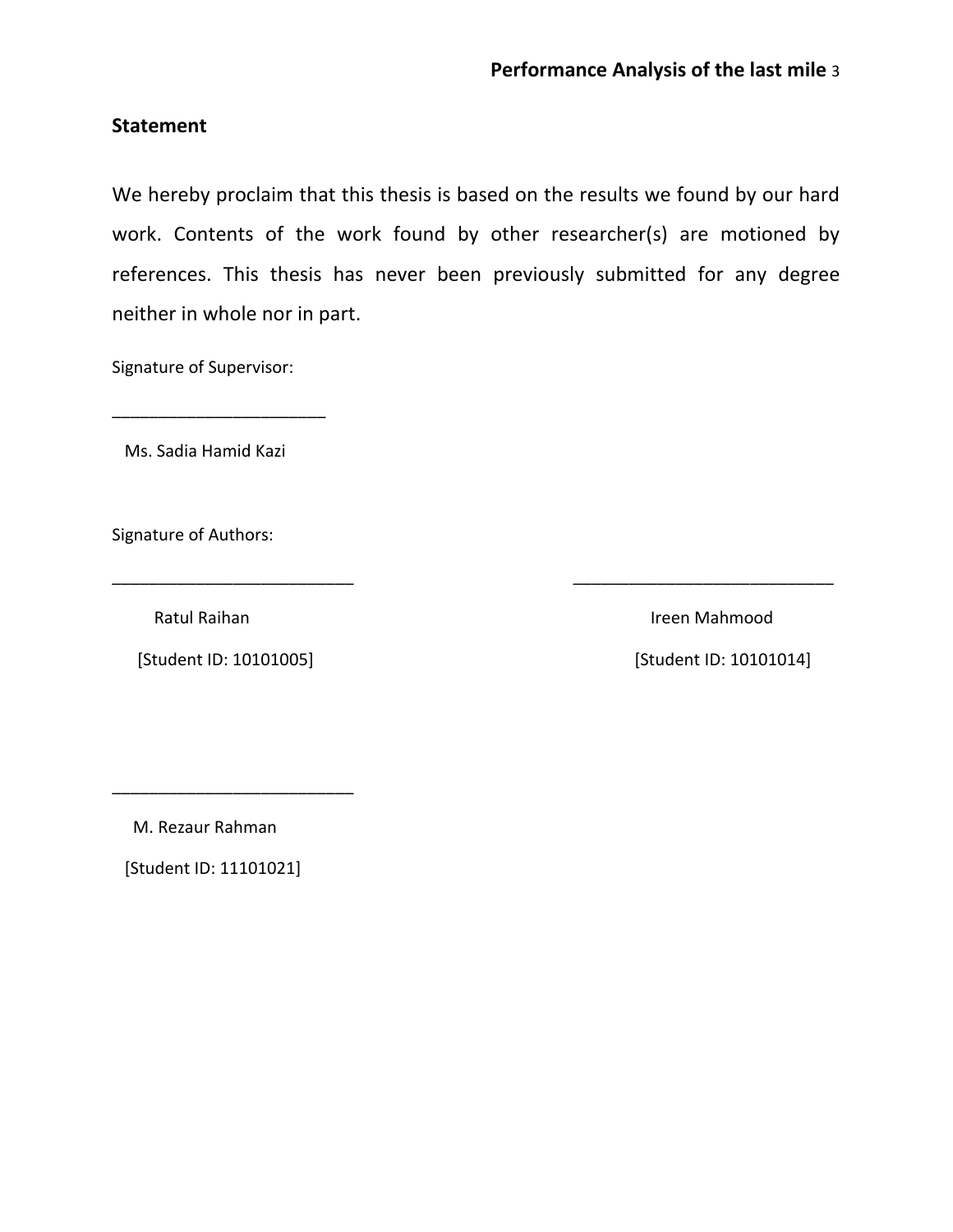# **Statement**

We hereby proclaim that this thesis is based on the results we found by our hard work. Contents of the work found by other researcher(s) are motioned by references. This thesis has never been previously submitted for any degree neither in whole nor in part.

\_\_\_\_\_\_\_\_\_\_\_\_\_\_\_\_\_\_\_\_\_\_\_\_\_\_ \_\_\_\_\_\_\_\_\_\_\_\_\_\_\_\_\_\_\_\_\_\_\_\_\_\_\_\_

Signature of Supervisor:

Ms. Sadia Hamid Kazi

\_\_\_\_\_\_\_\_\_\_\_\_\_\_\_\_\_\_\_\_\_\_\_

Signature of Authors:

[Student ID: 10101005] [Student ID: 10101014]

\_\_\_\_\_\_\_\_\_\_\_\_\_\_\_\_\_\_\_\_\_\_\_\_\_\_

Ratul Raihan Ireen Mahmood

M. Rezaur Rahman

[Student ID: 11101021]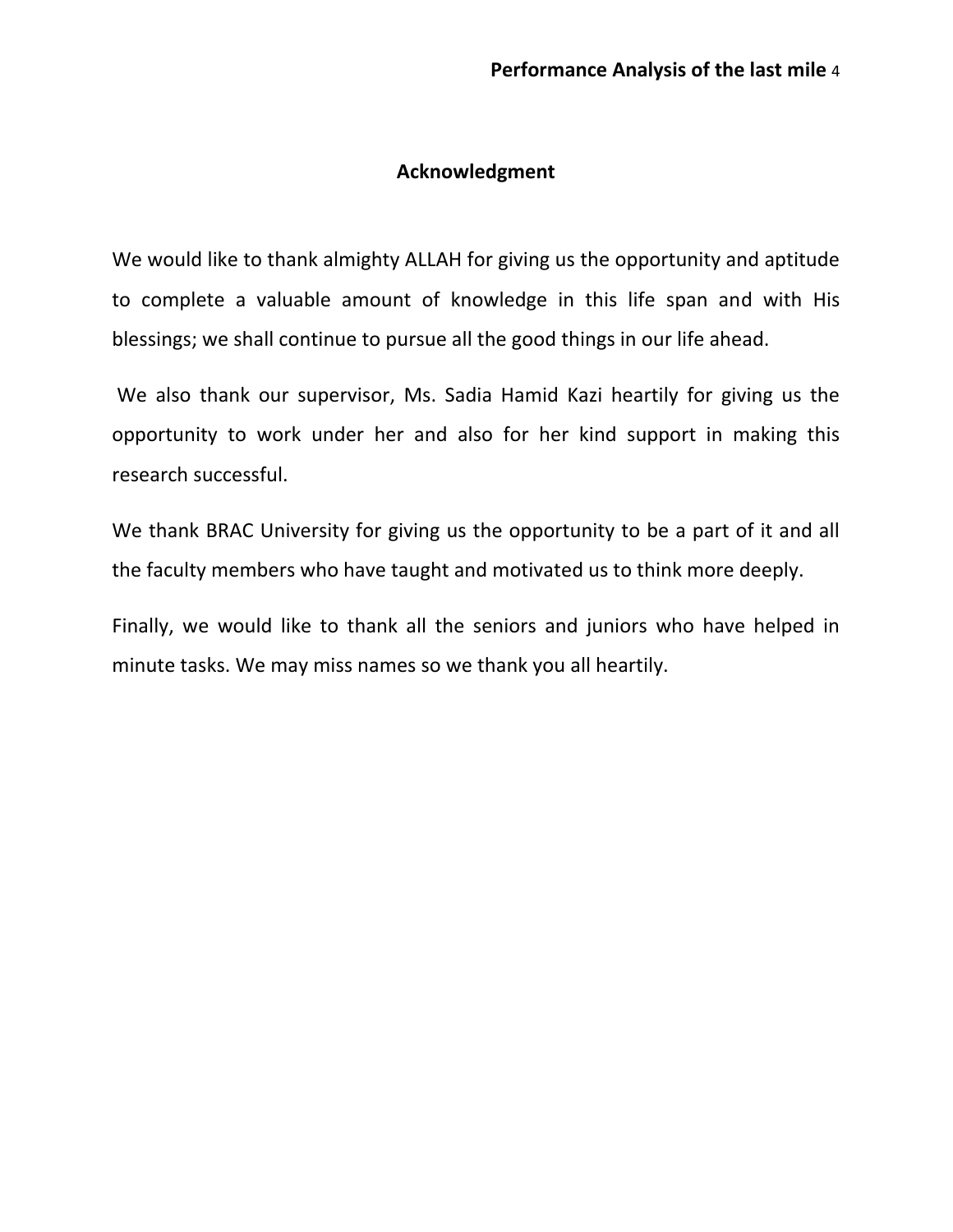# **Acknowledgment**

We would like to thank almighty ALLAH for giving us the opportunity and aptitude to complete a valuable amount of knowledge in this life span and with His blessings; we shall continue to pursue all the good things in our life ahead.

We also thank our supervisor, Ms. Sadia Hamid Kazi heartily for giving us the opportunity to work under her and also for her kind support in making this research successful.

We thank BRAC University for giving us the opportunity to be a part of it and all the faculty members who have taught and motivated us to think more deeply.

Finally, we would like to thank all the seniors and juniors who have helped in minute tasks. We may miss names so we thank you all heartily.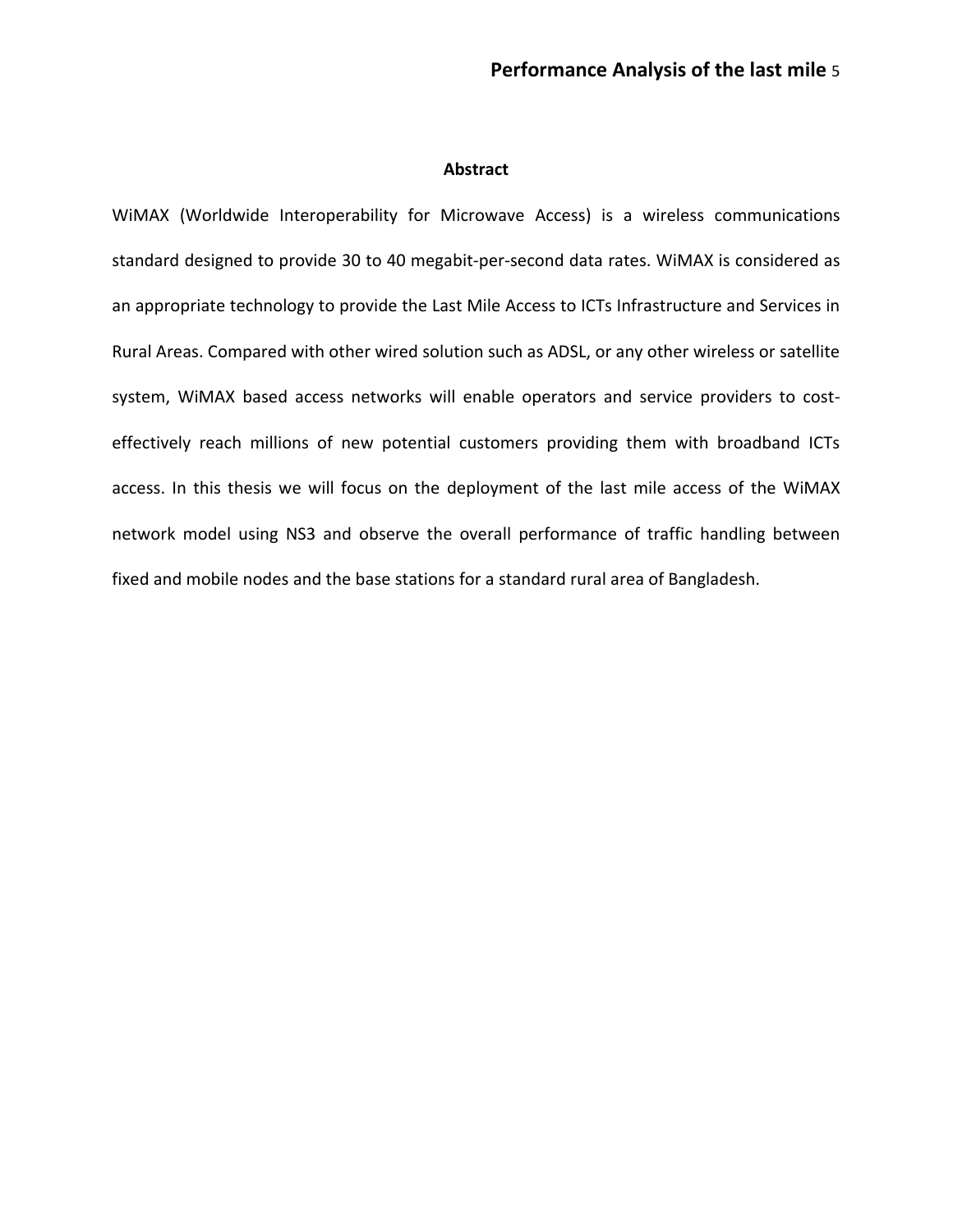#### **Abstract**

WiMAX (Worldwide Interoperability for Microwave Access) is a [wireless](http://en.wikipedia.org/wiki/Wireless) communications standard designed to provide 30 to 40 megabit-per-second data rates. WiMAX is considered as an appropriate technology to provide the Last Mile Access to ICTs Infrastructure and Services in Rural Areas. Compared with other wired solution such as ADSL, or any other wireless or satellite system, WiMAX based access networks will enable operators and service providers to costeffectively reach millions of new potential customers providing them with broadband ICTs access. In this thesis we will focus on the deployment of the last mile access of the WiMAX network model using NS3 and observe the overall performance of traffic handling between fixed and mobile nodes and the base stations for a standard rural area of Bangladesh.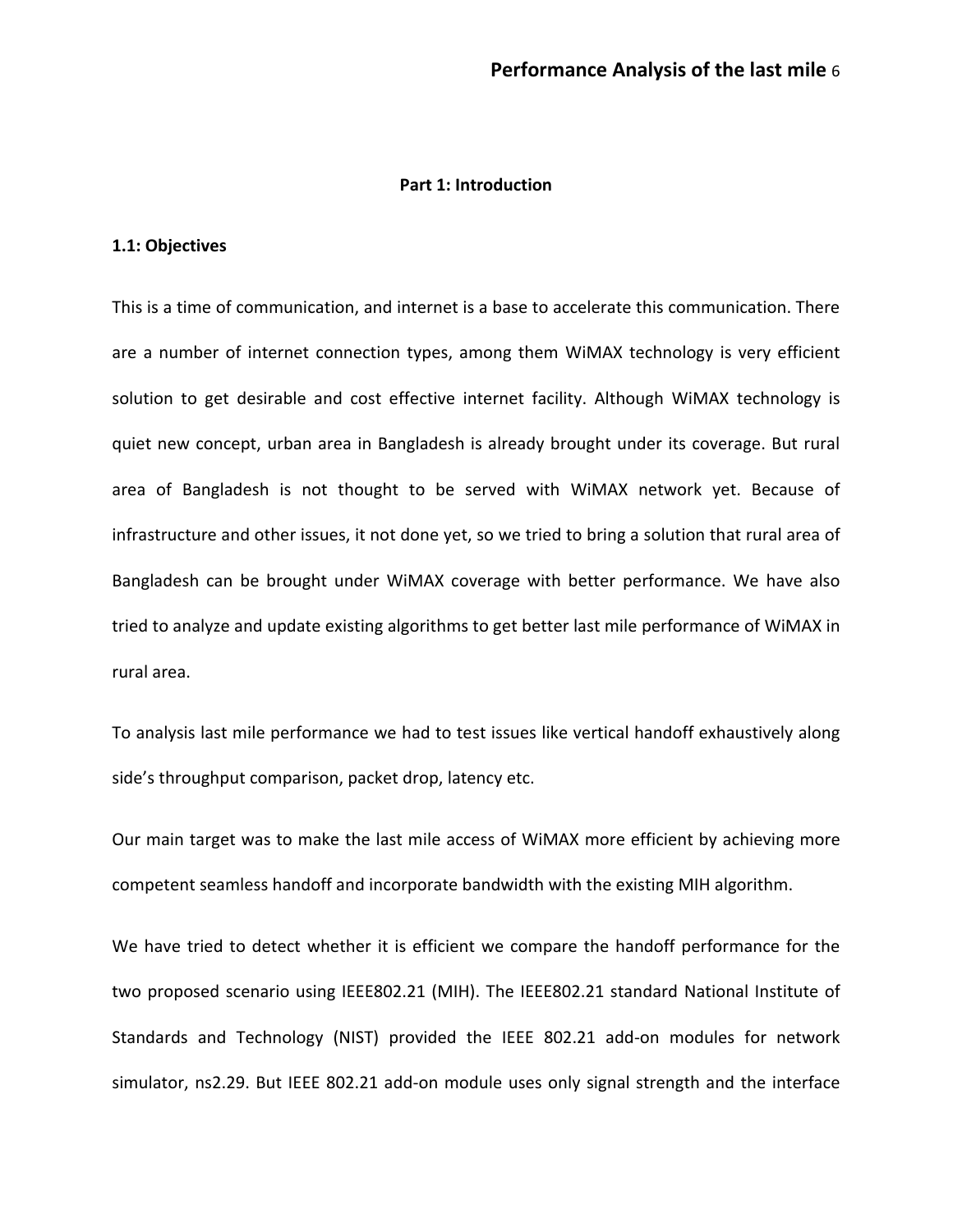#### **Part 1: Introduction**

#### **1.1: Objectives**

This is a time of communication, and internet is a base to accelerate this communication. There are a number of internet connection types, among them WiMAX technology is very efficient solution to get desirable and cost effective internet facility. Although WiMAX technology is quiet new concept, urban area in Bangladesh is already brought under its coverage. But rural area of Bangladesh is not thought to be served with WiMAX network yet. Because of infrastructure and other issues, it not done yet, so we tried to bring a solution that rural area of Bangladesh can be brought under WiMAX coverage with better performance. We have also tried to analyze and update existing algorithms to get better last mile performance of WiMAX in rural area.

To analysis last mile performance we had to test issues like vertical handoff exhaustively along side's throughput comparison, packet drop, latency etc.

Our main target was to make the last mile access of WiMAX more efficient by achieving more competent seamless handoff and incorporate bandwidth with the existing MIH algorithm.

We have tried to detect whether it is efficient we compare the handoff performance for the two proposed scenario using IEEE802.21 (MIH). The IEEE802.21 standard National Institute of Standards and Technology (NIST) provided the IEEE 802.21 add-on modules for network simulator, ns2.29. But IEEE 802.21 add-on module uses only signal strength and the interface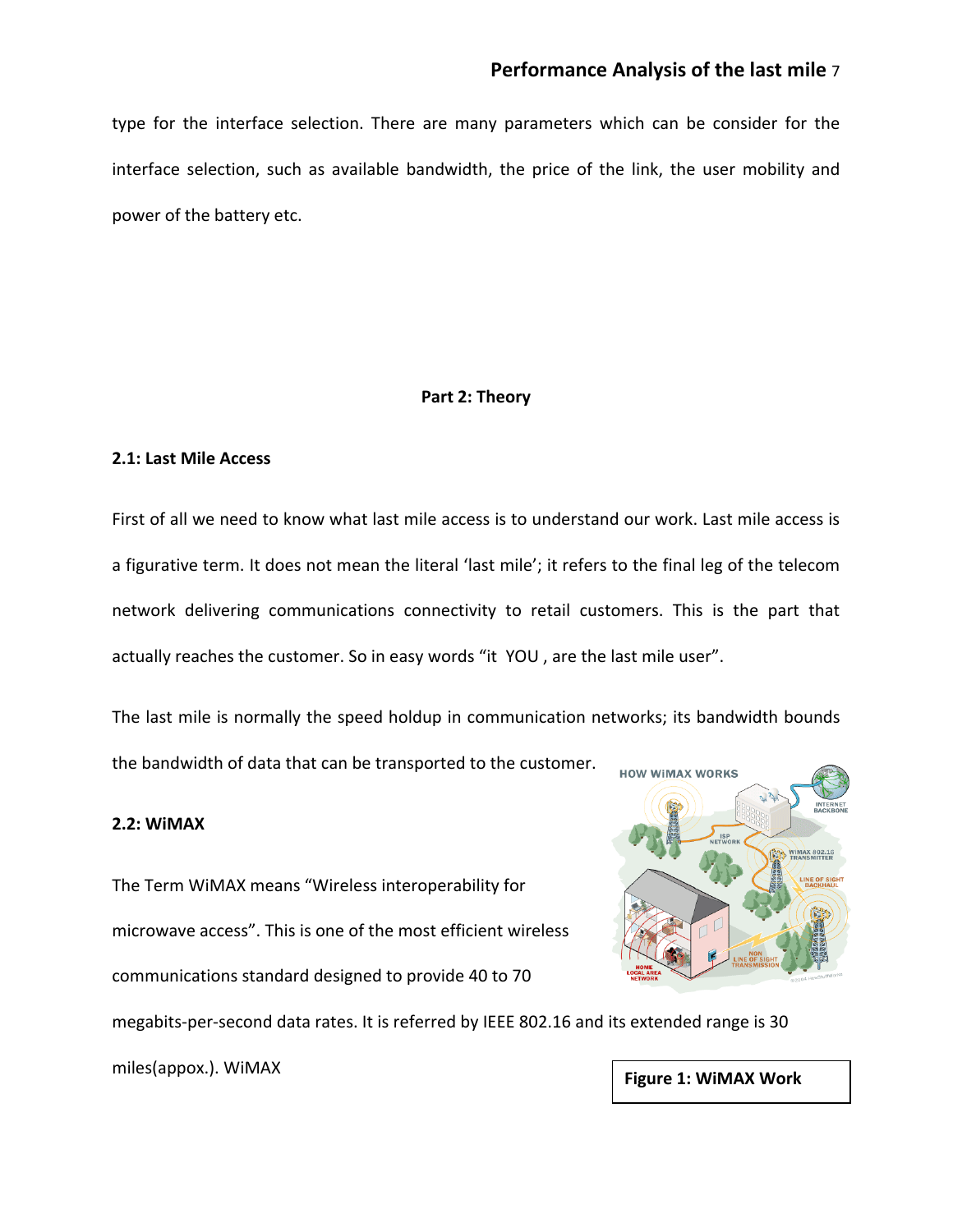# **Performance Analysis of the last mile** 7

type for the interface selection. There are many parameters which can be consider for the interface selection, such as available bandwidth, the price of the link, the user mobility and power of the battery etc.

## **Part 2: Theory**

#### **2.1: Last Mile Access**

First of all we need to know what last mile access is to understand our work. Last mile access is a figurative term. It does not mean the literal 'last mile'; it refers to the final leg of the telecom network delivering communications connectivity to retail customers. This is the part that actually reaches the customer. So in easy words "it YOU , are the last mile user".

The last mile is normally the speed holdup in communication networks; its [bandwidth](http://en.wikipedia.org/wiki/Bandwidth_%28signal_processing%29) bounds the bandwidth of data that can be transported to the customer.

### **2.2: WiMAX**

The Term WiMAX means "Wireless interoperability for microwave access". This is one of the most efficient [wireless](http://en.wikipedia.org/wiki/Wireless) communications standard designed to provide 40 to 70 megabits-per-second data rates. It is referred by IEEE 802.16 and its extended range is 30



miles(appox.). WiMAX **Figure 1: WiMAX Work**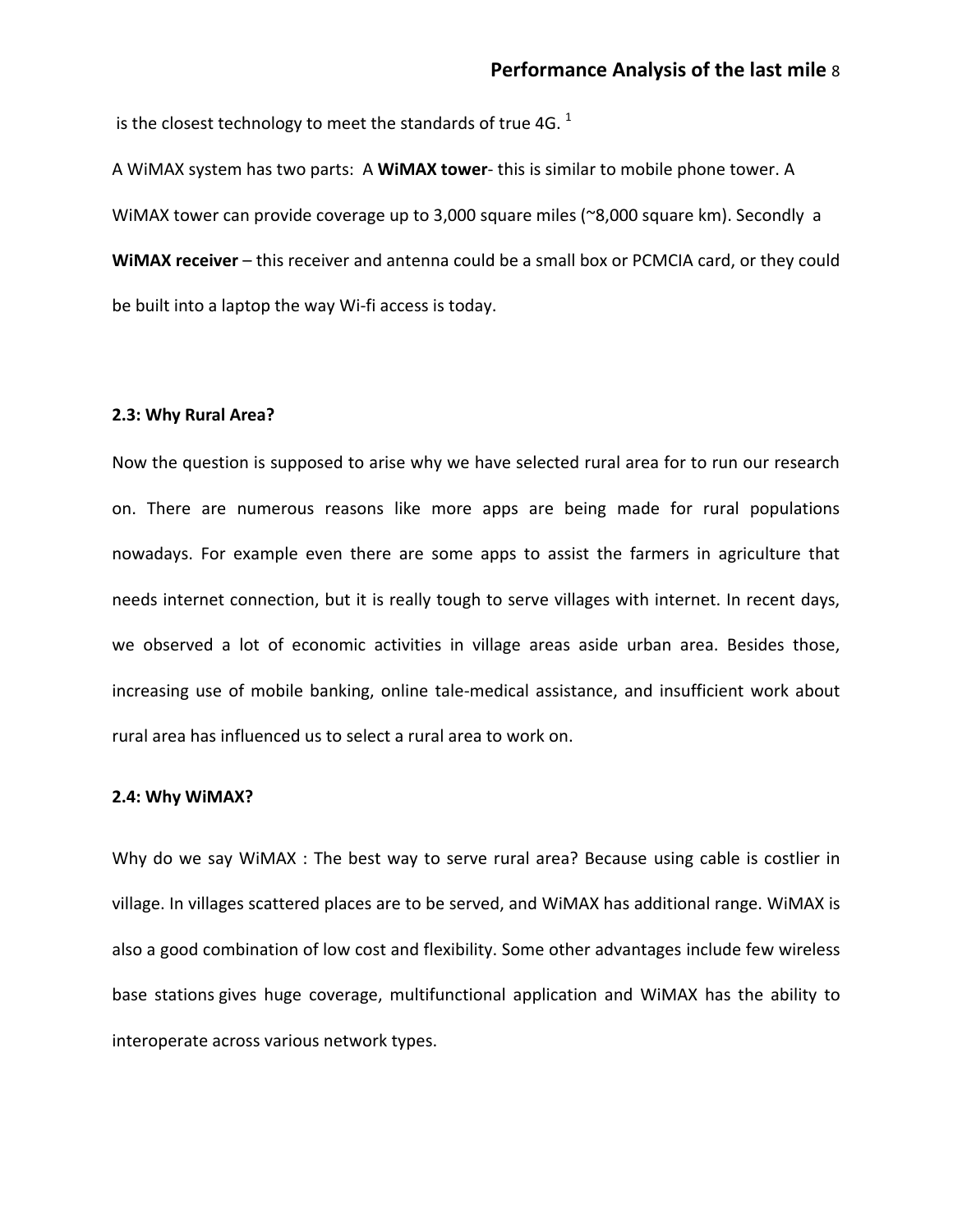is the closest technology to meet the standards of true 4G.  $^1$ 

A WiMAX system has two parts: A **WiMAX tower**- this is similar to mobile phone tower. A WiMAX tower can provide coverage up to 3,000 square miles (~8,000 square km). Secondly a **WiMAX receiver** – this receiver and antenna could be a small box or [PCMCIA card,](http://computer.howstuffworks.com/removable-storage.htm) or they could be built into a laptop the way Wi-fi access is today.

#### **2.3: Why Rural Area?**

Now the question is supposed to arise why we have selected rural area for to run our research on. There are numerous reasons like more apps are being made for rural populations nowadays. For example even there are some apps to assist the farmers in agriculture that needs internet connection, but it is really tough to serve villages with internet. In recent days, we observed a lot of economic activities in village areas aside urban area. Besides those, increasing use of mobile banking, online tale-medical assistance, and insufficient work about rural area has influenced us to select a rural area to work on.

#### **2.4: Why WiMAX?**

Why do we say WiMAX : The best way to serve rural area? Because using cable is costlier in village. In villages scattered places are to be served, and WiMAX has additional range. WiMAX is also a good combination of low cost and flexibility. Some other advantages include few wireless base stations gives huge coverage, multifunctional application and WiMAX has the ability to interoperate across various network types.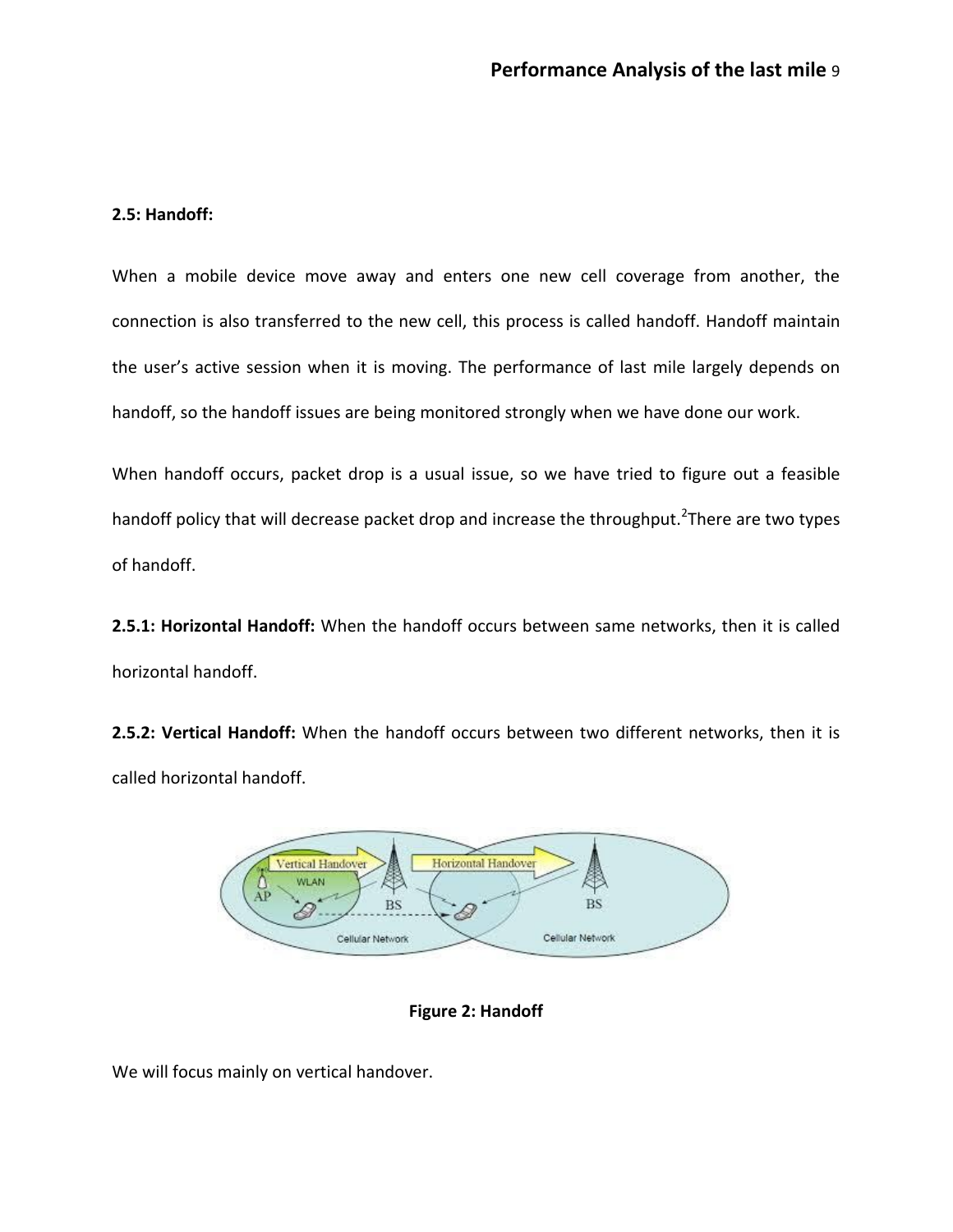### **2.5: Handoff:**

When a mobile device move away and enters one new cell coverage from another, the connection is also transferred to the new cell, this process is called handoff. Handoff maintain the user's active session when it is moving. The performance of last mile largely depends on handoff, so the handoff issues are being monitored strongly when we have done our work.

When handoff occurs, packet drop is a usual issue, so we have tried to figure out a feasible handoff policy that will decrease packet drop and increase the throughput.<sup>2</sup>There are two types of handoff.

**2.5.1: Horizontal Handoff:** When the handoff occurs between same networks, then it is called horizontal handoff.

**2.5.2: Vertical Handoff:** When the handoff occurs between two different networks, then it is called horizontal handoff.



**Figure 2: Handoff**

We will focus mainly on vertical handover.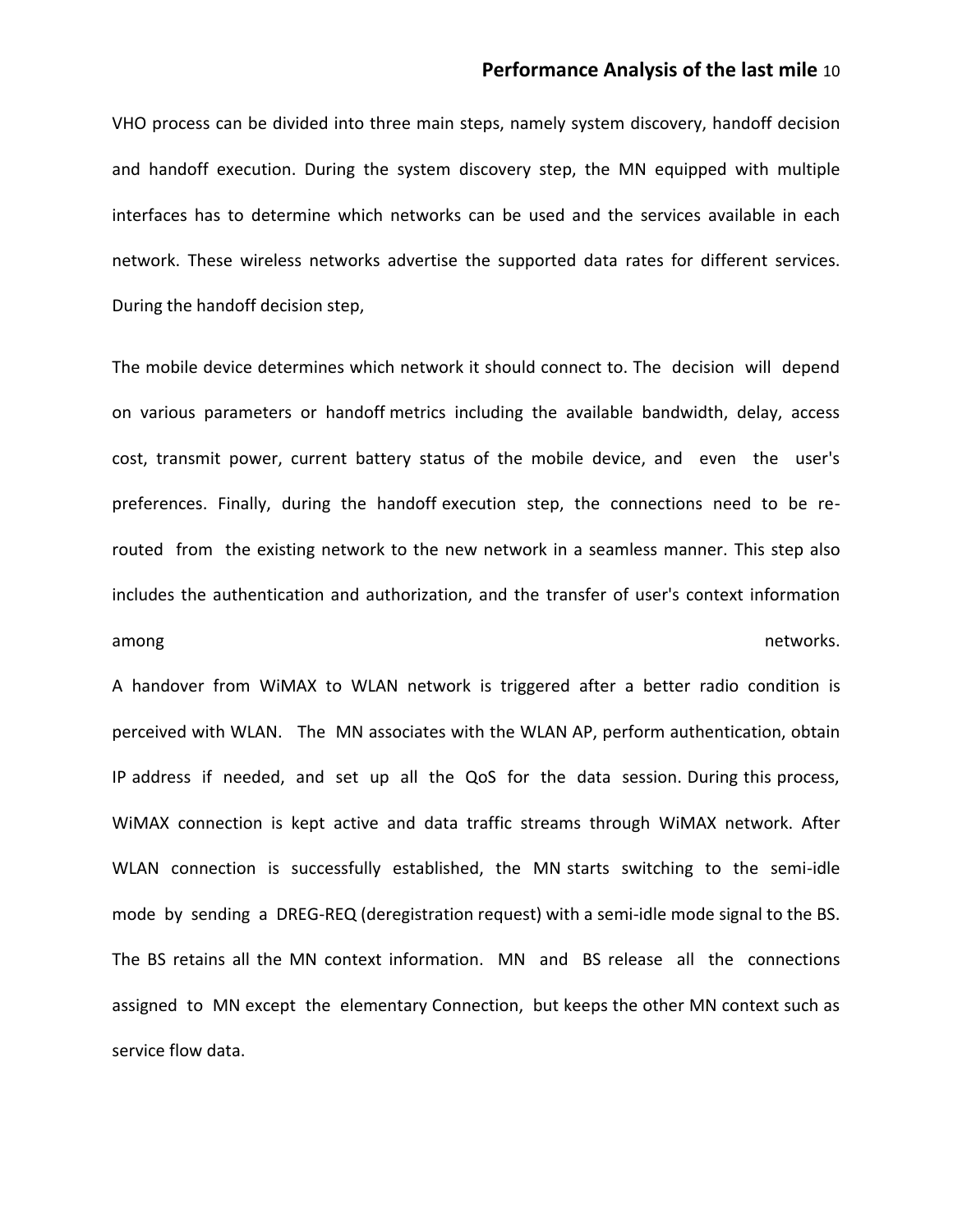# **Performance Analysis of the last mile** 10

VHO process can be divided into three main steps, namely system discovery, handoff decision and handoff execution. During the system discovery step, the MN equipped with multiple interfaces has to determine which networks can be used and the services available in each network. These wireless networks advertise the supported data rates for different services. During the handoff decision step,

The mobile device determines which network it should connect to. The decision will depend on various parameters or handoff metrics including the available bandwidth, delay, access cost, transmit power, current battery status of the mobile device, and even the user's preferences. Finally, during the handoff execution step, the connections need to be rerouted from the existing network to the new network in a seamless manner. This step also includes the authentication and authorization, and the transfer of user's context information among and the contract of the contract of the contract of the contract of the contract of the contract of the contract of the contract of the contract of the contract of the contract of the contract of the contract of the

A handover from WiMAX to WLAN network is triggered after a better radio condition is perceived with WLAN. The MN associates with the WLAN AP, perform authentication, obtain IP address if needed, and set up all the QoS for the data session. During this process, WiMAX connection is kept active and data traffic streams through WiMAX network. After WLAN connection is successfully established, the MN starts switching to the semi-idle mode by sending a DREG-REQ (deregistration request) with a semi-idle mode signal to the BS. The BS retains all the MN context information. MN and BS release all the connections assigned to MN except the elementary Connection, but keeps the other MN context such as service flow data.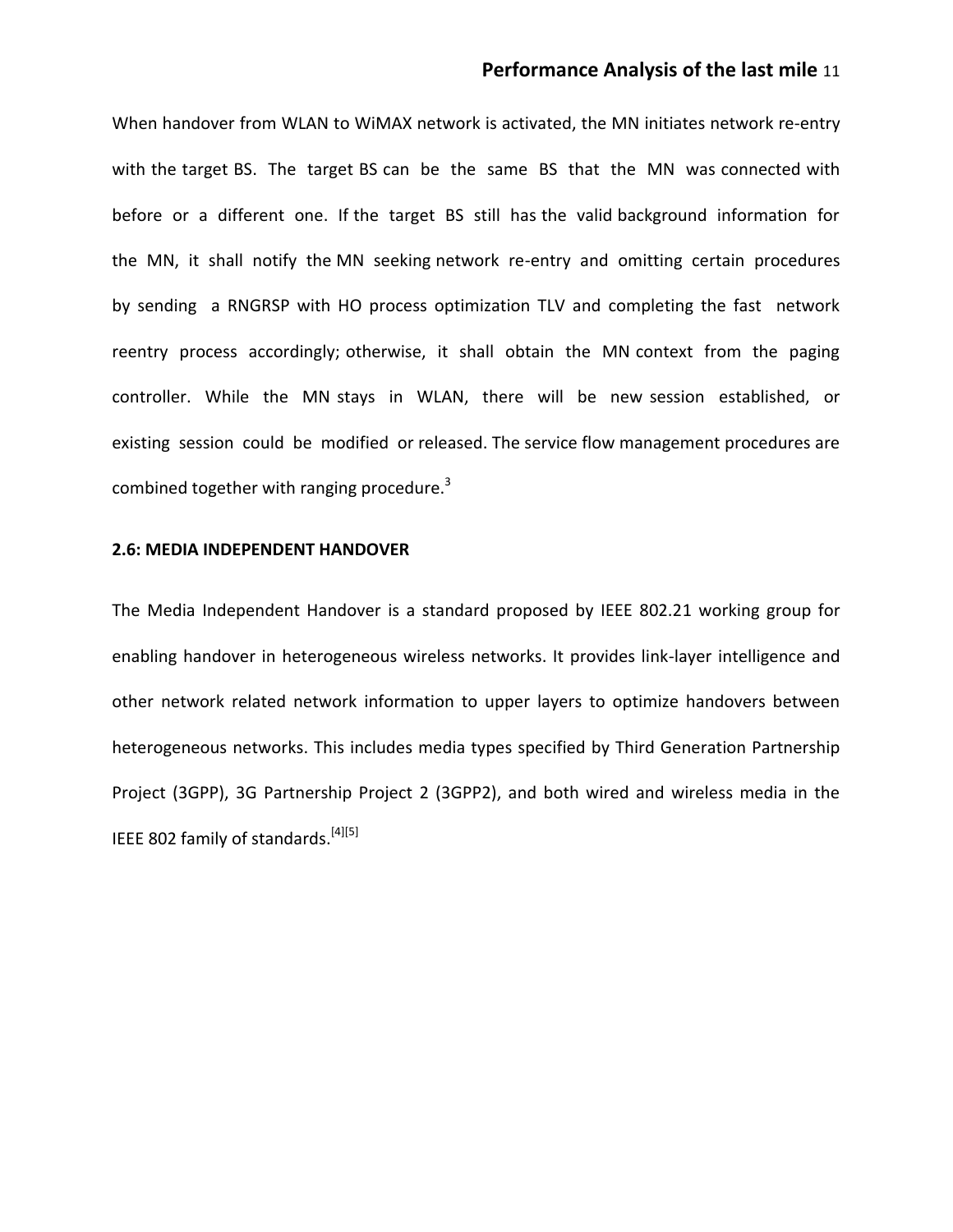# **Performance Analysis of the last mile** 11

When handover from WLAN to WiMAX network is activated, the MN initiates network re-entry with the target BS. The target BS can be the same BS that the MN was connected with before or a different one. If the target BS still has the valid background information for the MN, it shall notify the MN seeking network re-entry and omitting certain procedures by sending a RNGRSP with HO process optimization TLV and completing the fast network reentry process accordingly; otherwise, it shall obtain the MN context from the paging controller. While the MN stays in WLAN, there will be new session established, or existing session could be modified or released. The service flow management procedures are combined together with ranging procedure. $3$ 

## **2.6: MEDIA INDEPENDENT HANDOVER**

The Media Independent Handover is a standard proposed by IEEE 802.21 working group for enabling handover in heterogeneous wireless networks. It provides link-layer intelligence and other network related network information to upper layers to optimize handovers between heterogeneous networks. This includes media types specified by Third Generation Partnership Project (3GPP), 3G Partnership Project 2 (3GPP2), and both wired and wireless media in the IEEE 802 family of standards.<sup>[4][5]</sup>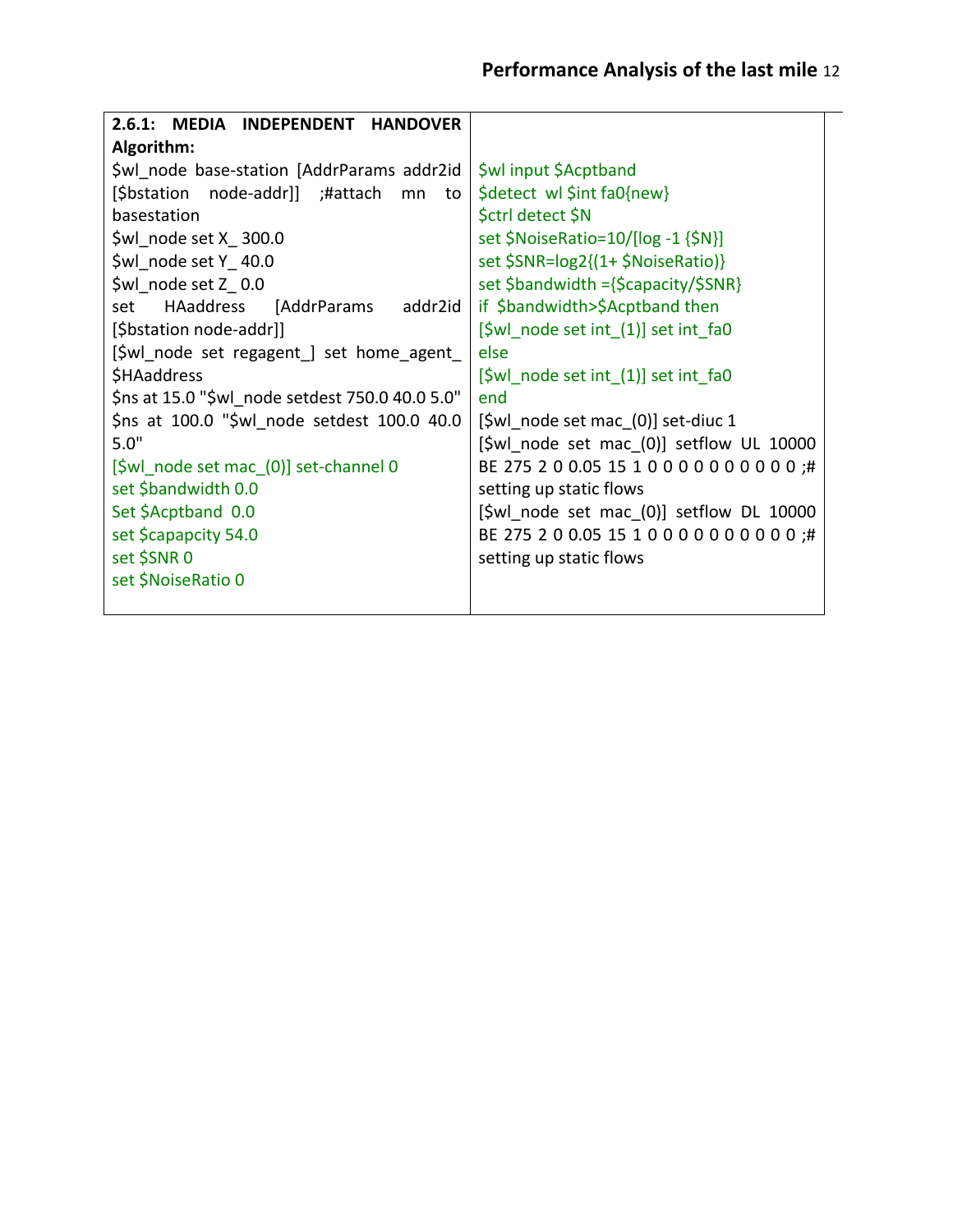| 2.6.1:<br>MEDIA INDEPENDENT HANDOVER            |                                                                 |  |
|-------------------------------------------------|-----------------------------------------------------------------|--|
| Algorithm:                                      |                                                                 |  |
| \$wl_node base-station [AddrParams addr2id      | \$wl input \$Acptband                                           |  |
| [\$bstation node-addr]] ;#attach<br>mn<br>to    | \$detect wl \$int fa0{new}                                      |  |
| basestation                                     | \$ctrl detect \$N                                               |  |
| \$wl node set X_300.0                           | set \$NoiseRatio=10/[log -1 {\$N}]                              |  |
| \$wl node set Y 40.0                            | set \$SNR=log2{(1+ \$NoiseRatio)}                               |  |
| \$wl_node set Z 0.0                             | set \$bandwidth = {\$capacity/\$SNR}                            |  |
| HAaddress<br>[AddrParams<br>addr2id<br>set      | if \$bandwidth>\$Acptband then                                  |  |
| [\$bstation node-addr]]                         | [\$wl node set int (1)] set int fa0                             |  |
| [\$wl_node set regagent_] set home_agent_       | else                                                            |  |
| \$HAaddress                                     | $[\frac{\xi}{\text{wl}} \text{ node set int } (1)]$ set int fa0 |  |
| \$ns at 15.0 "\$wl node setdest 750.0 40.0 5.0" | end                                                             |  |
| \$ns at 100.0 "\$wl node setdest 100.0 40.0     | [\$wl node set mac (0)] set-diuc 1                              |  |
| 5.0"                                            | [\$wl node set mac (0)] setflow UL 10000                        |  |
| [\$wl node set mac_(0)] set-channel 0           | BE 275 2 0 0.05 15 1 0 0 0 0 0 0 0 0 0 0 ;#                     |  |
| set \$bandwidth 0.0                             | setting up static flows                                         |  |
| Set \$Acptband 0.0                              | $[\frac{\xi}{10000}]$ set mac $(0)$ ] setflow DL 10000          |  |
| set \$capapcity 54.0                            | BE 275 2 0 0.05 15 1 0 0 0 0 0 0 0 0 0 0 ;#                     |  |
| set \$SNR 0                                     | setting up static flows                                         |  |
| set \$NoiseRatio 0                              |                                                                 |  |
|                                                 |                                                                 |  |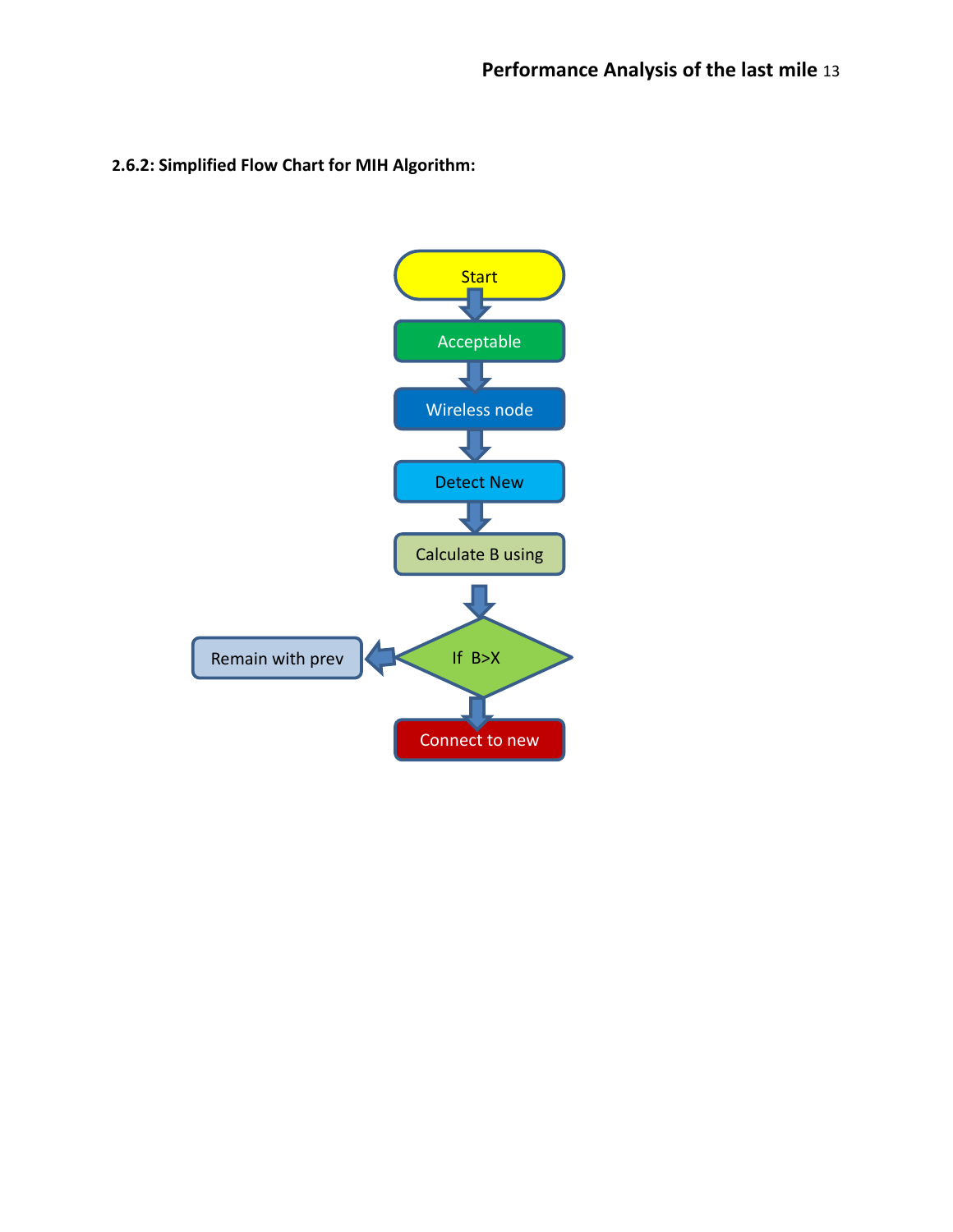**2.6.2: Simplified Flow Chart for MIH Algorithm:**

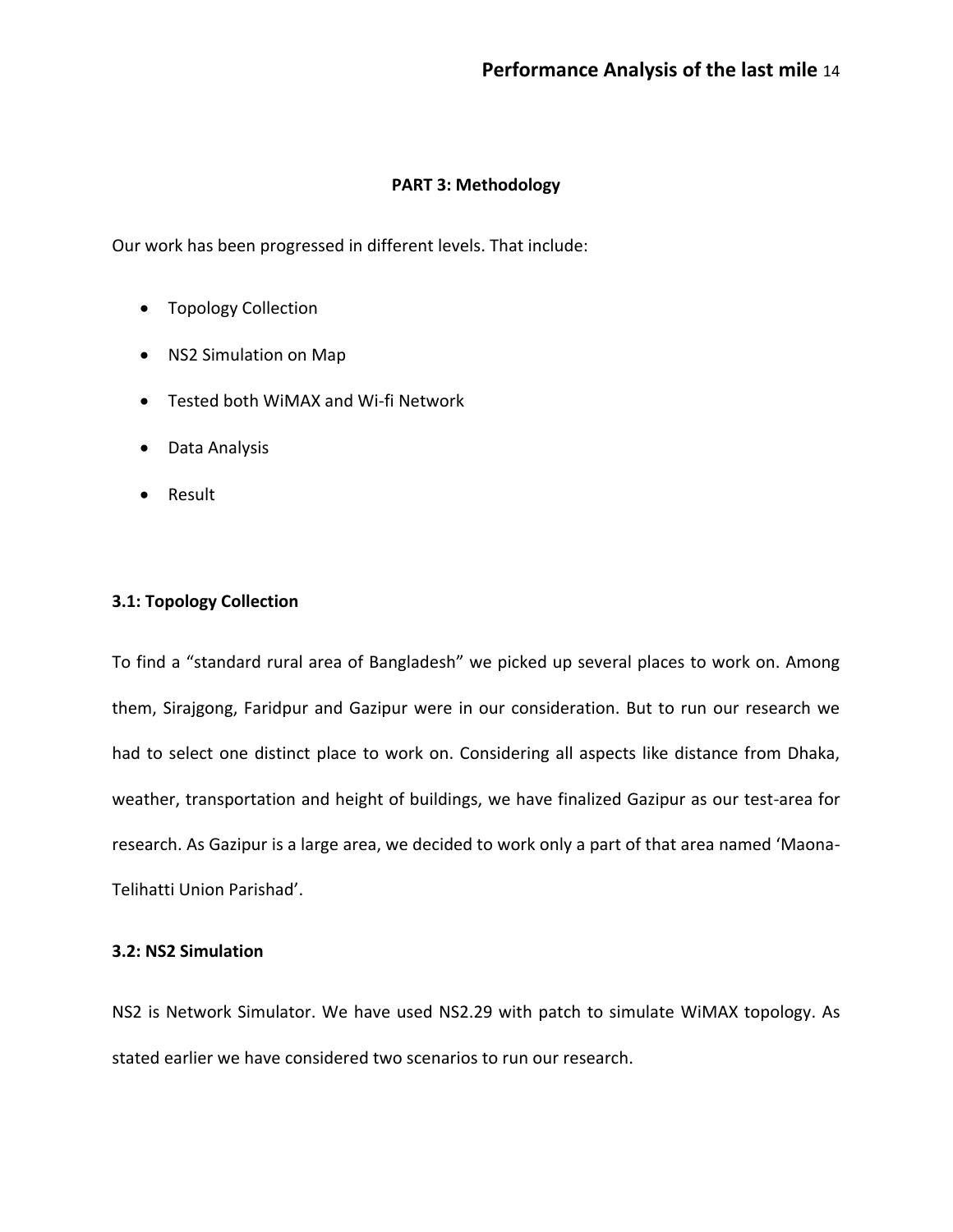# **PART 3: Methodology**

Our work has been progressed in different levels. That include:

- Topology Collection
- NS2 Simulation on Map
- Tested both WiMAX and Wi-fi Network
- Data Analysis
- Result

# **3.1: Topology Collection**

To find a "standard rural area of Bangladesh" we picked up several places to work on. Among them, Sirajgong, Faridpur and Gazipur were in our consideration. But to run our research we had to select one distinct place to work on. Considering all aspects like distance from Dhaka, weather, transportation and height of buildings, we have finalized Gazipur as our test-area for research. As Gazipur is a large area, we decided to work only a part of that area named 'Maona-Telihatti Union Parishad'.

## **3.2: NS2 Simulation**

NS2 is Network Simulator. We have used NS2.29 with patch to simulate WiMAX topology. As stated earlier we have considered two scenarios to run our research.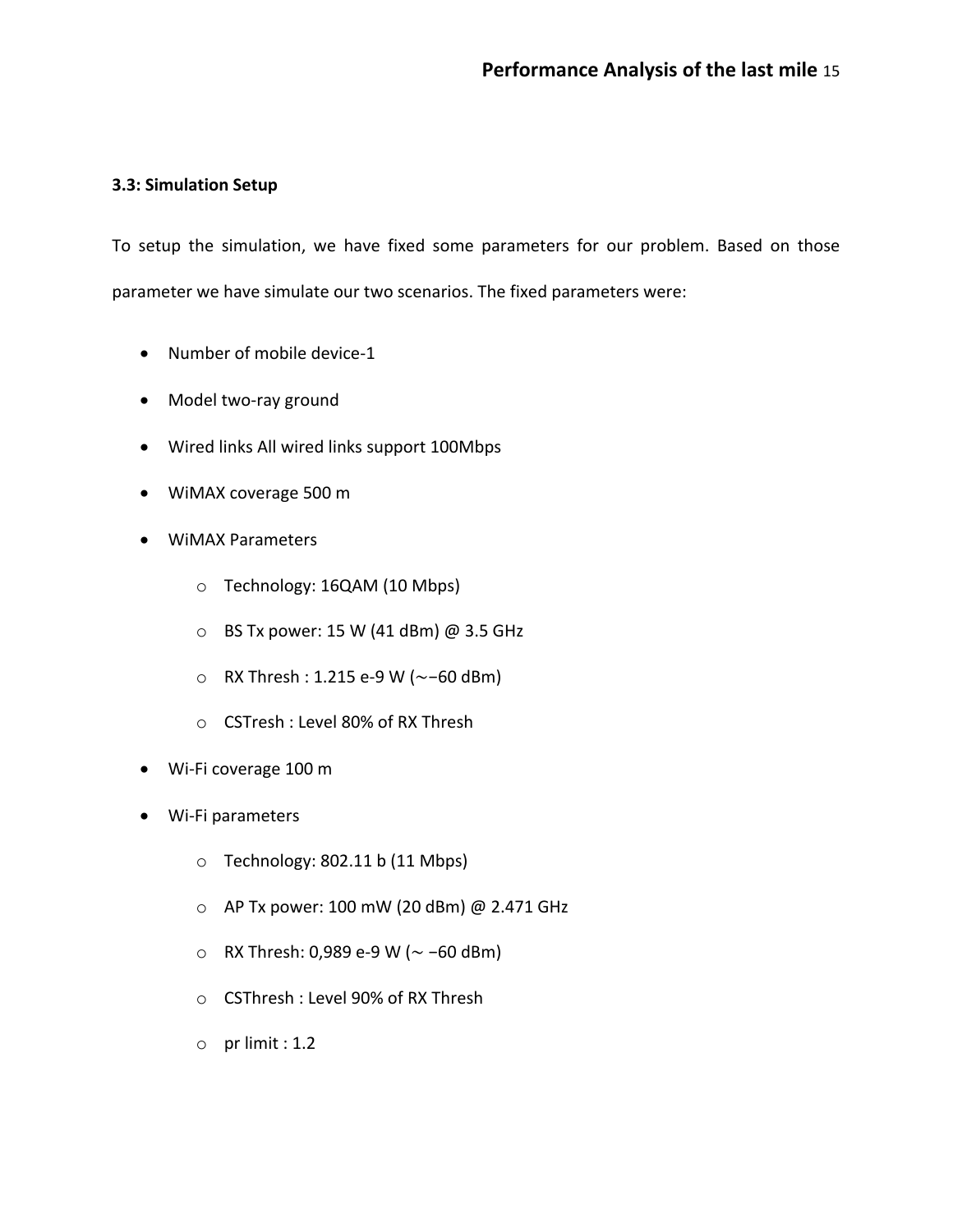# **3.3: Simulation Setup**

To setup the simulation, we have fixed some parameters for our problem. Based on those parameter we have simulate our two scenarios. The fixed parameters were:

- Number of mobile device-1
- Model two-ray ground
- Wired links All wired links support 100Mbps
- WiMAX coverage 500 m
- WiMAX Parameters
	- o Technology: 16QAM (10 Mbps)
	- o BS Tx power: 15 W (41 dBm) @ 3.5 GHz
	- o RX Thresh : 1.215 e-9 W (∼−60 dBm)
	- o CSTresh : Level 80% of RX Thresh
- Wi-Fi coverage 100 m
- Wi-Fi parameters
	- o Technology: 802.11 b (11 Mbps)
	- o AP Tx power: 100 mW (20 dBm) @ 2.471 GHz
	- o RX Thresh: 0,989 e-9 W (∼ −60 dBm)
	- o CSThresh : Level 90% of RX Thresh
	- $\circ$  pr limit : 1.2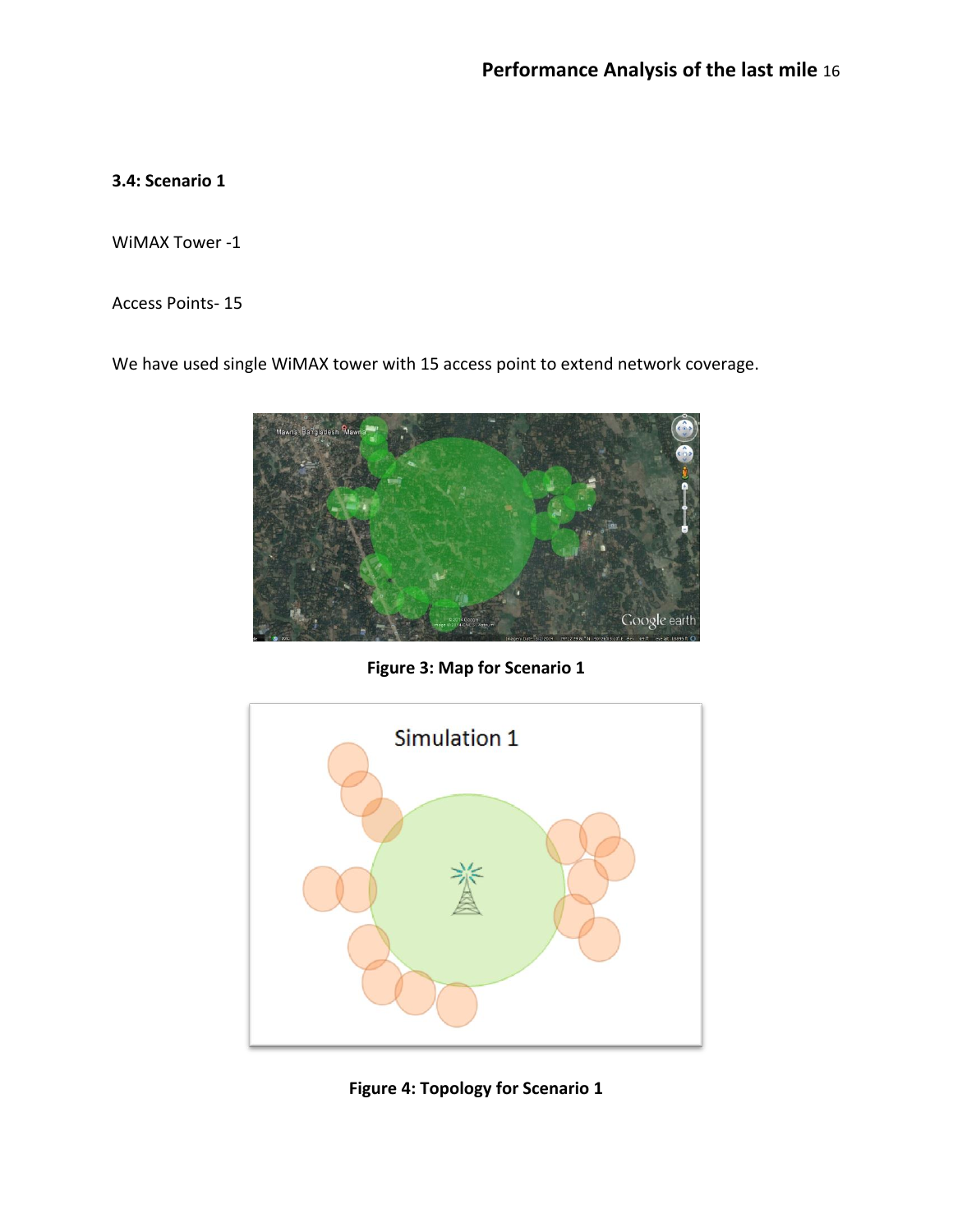# **3.4: Scenario 1**

WiMAX Tower -1

Access Points- 15

We have used single WiMAX tower with 15 access point to extend network coverage.



**Figure 3: Map for Scenario 1**



**Figure 4: Topology for Scenario 1**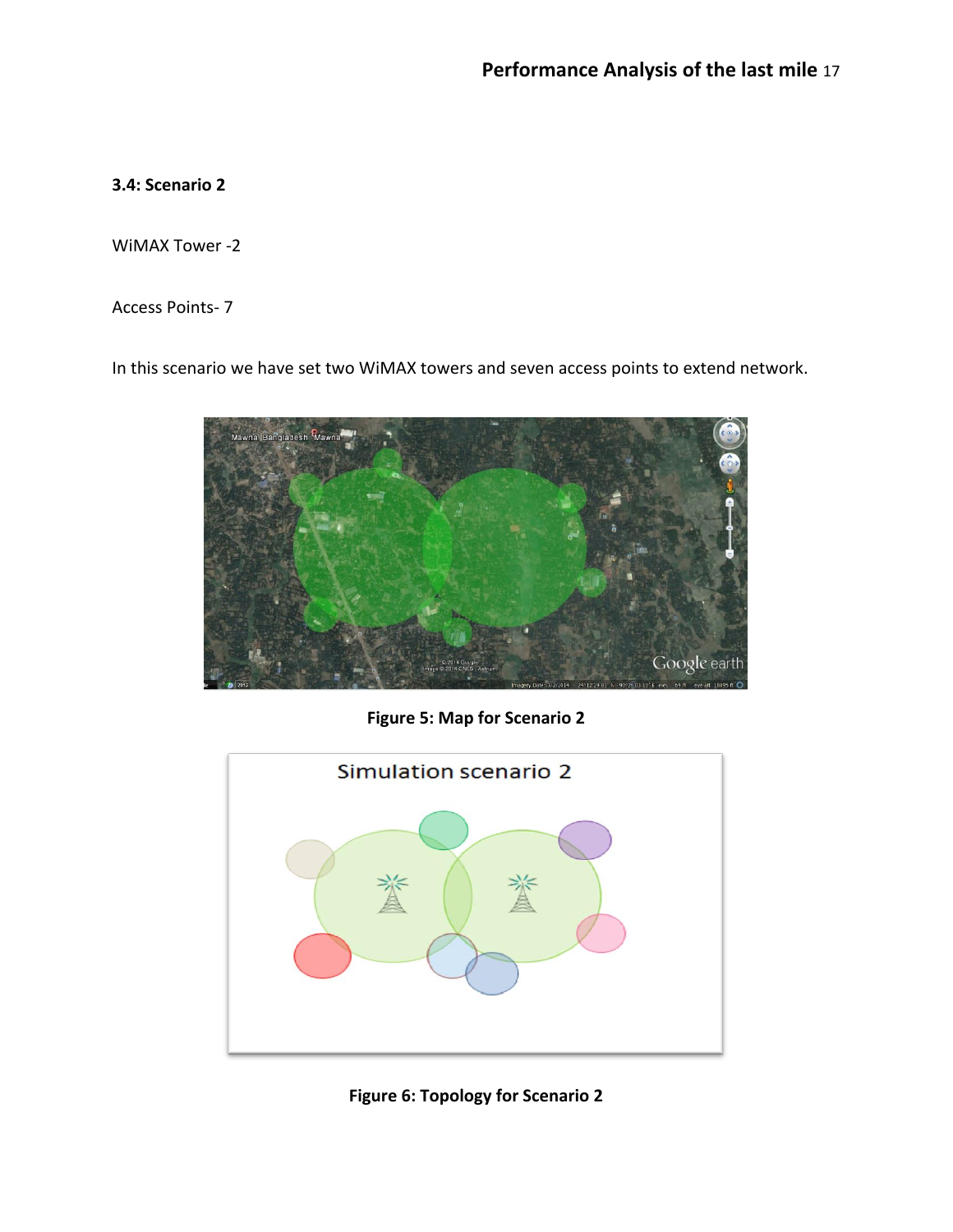# **3.4: Scenario 2**

WiMAX Tower -2

Access Points- 7

In this scenario we have set two WiMAX towers and seven access points to extend network.



**Figure 5: Map for Scenario 2**



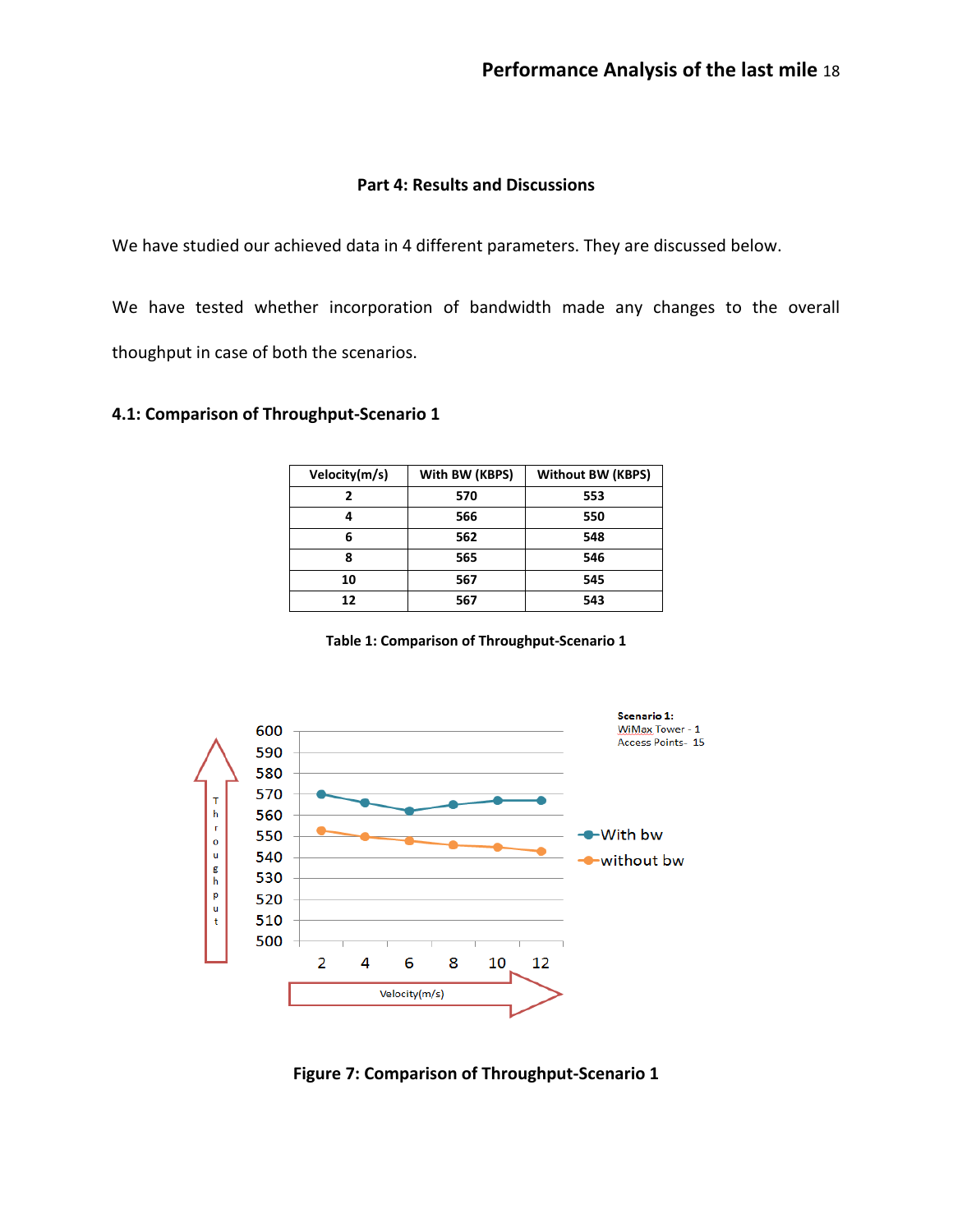### **Part 4: Results and Discussions**

We have studied our achieved data in 4 different parameters. They are discussed below.

We have tested whether incorporation of bandwidth made any changes to the overall thoughput in case of both the scenarios.

# **4.1: Comparison of Throughput-Scenario 1**

| Velocity(m/s) | With BW (KBPS) | <b>Without BW (KBPS)</b> |
|---------------|----------------|--------------------------|
|               | 570            | 553                      |
|               | 566            | 550                      |
| 6             | 562            | 548                      |
| Զ             | 565            | 546                      |
| 10            | 567            | 545                      |
| 12            | 567            | 543                      |

**Table 1: Comparison of Throughput-Scenario 1**



**Figure 7: Comparison of Throughput-Scenario 1**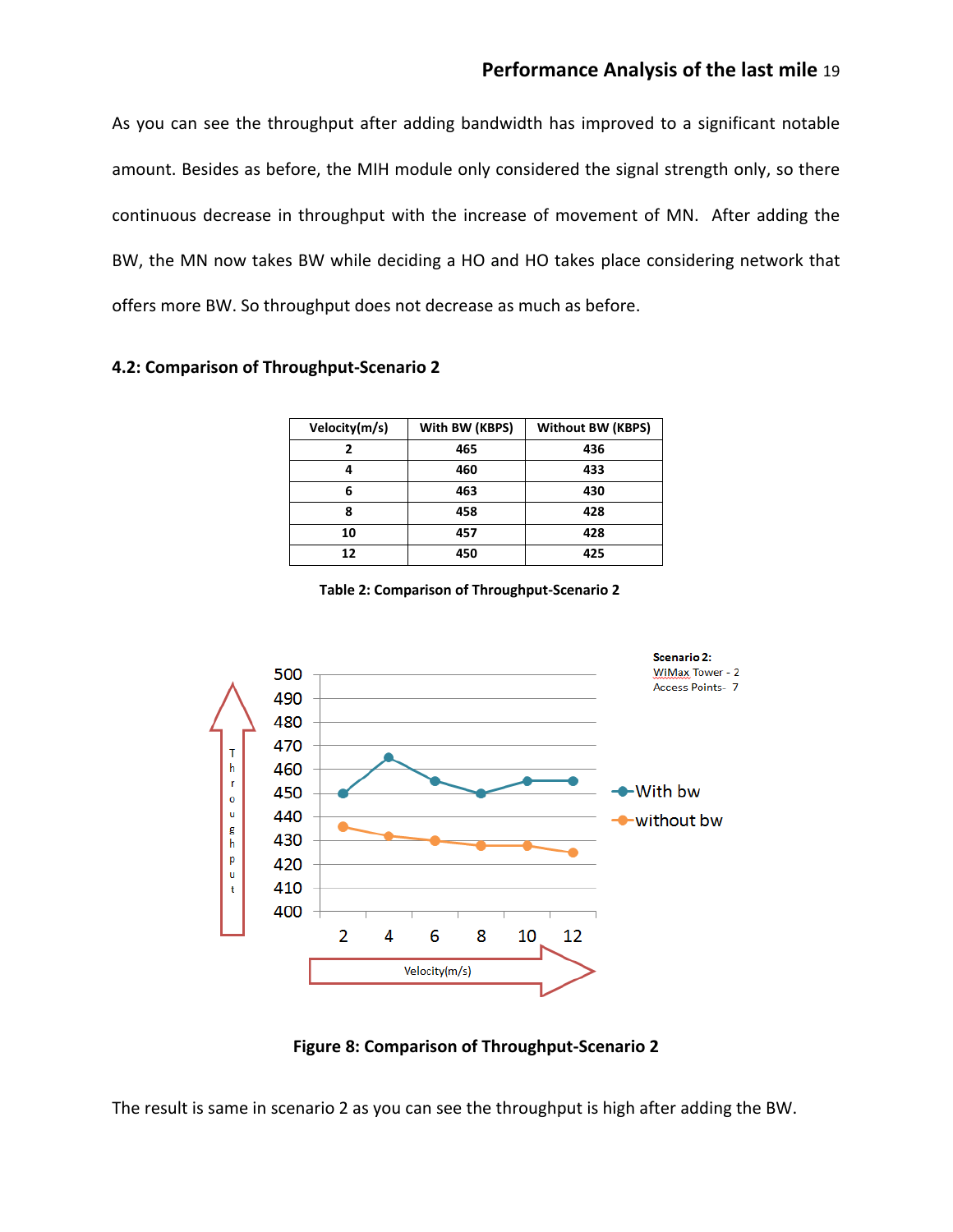As you can see the throughput after adding bandwidth has improved to a significant notable amount. Besides as before, the MIH module only considered the signal strength only, so there continuous decrease in throughput with the increase of movement of MN. After adding the BW, the MN now takes BW while deciding a HO and HO takes place considering network that offers more BW. So throughput does not decrease as much as before.

# **4.2: Comparison of Throughput-Scenario 2**

| Velocity(m/s) | With BW (KBPS) | <b>Without BW (KBPS)</b> |
|---------------|----------------|--------------------------|
|               | 465            | 436                      |
|               | 460            | 433                      |
| 6             | 463            | 430                      |
| 8             | 458            | 428                      |
| 10            | 457            | 428                      |
| 12            | 450            | 425                      |

**Table 2: Comparison of Throughput-Scenario 2**



**Figure 8: Comparison of Throughput-Scenario 2**

The result is same in scenario 2 as you can see the throughput is high after adding the BW.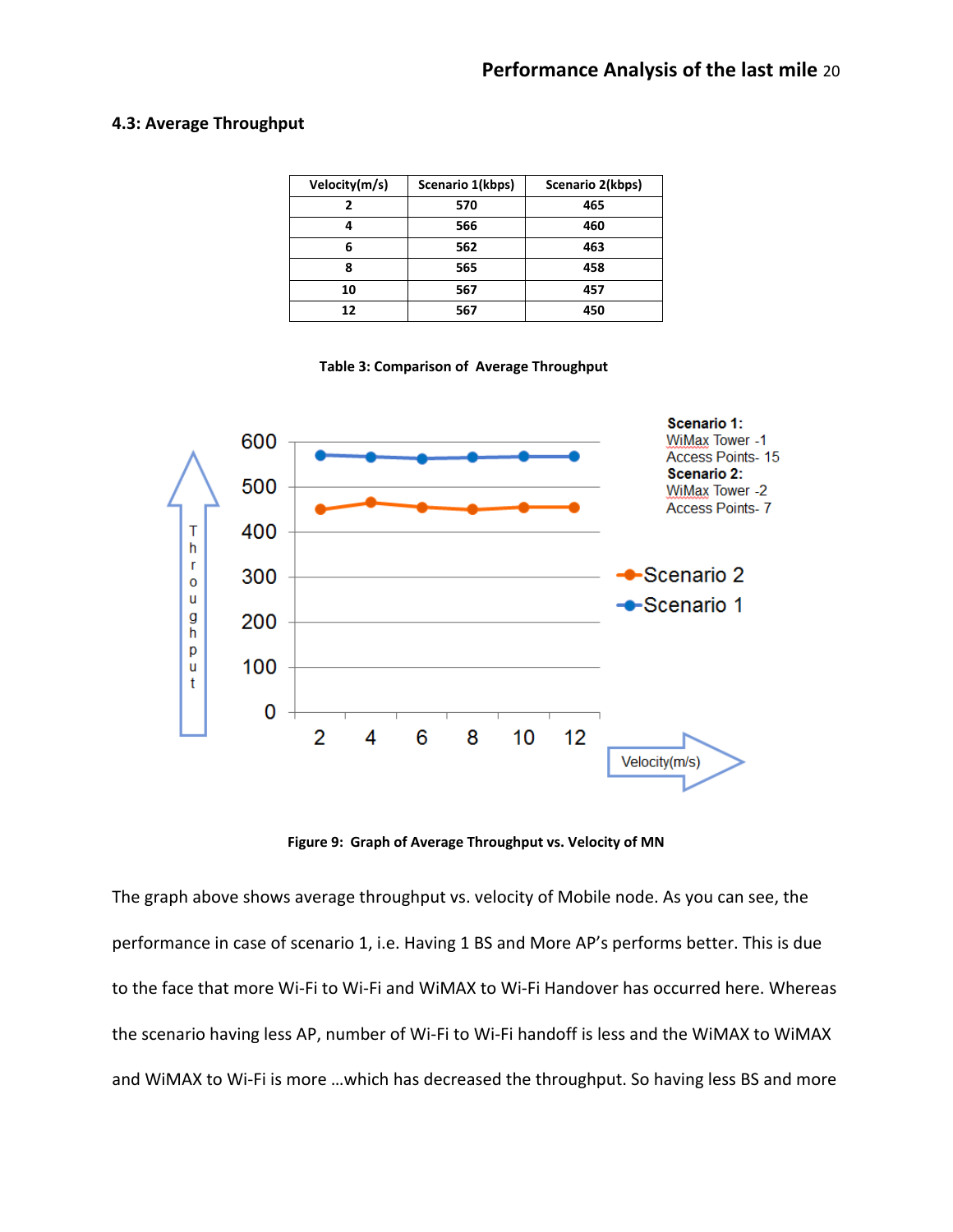#### **4.3: Average Throughput**

| Velocity(m/s) | Scenario 1(kbps) | Scenario 2(kbps) |
|---------------|------------------|------------------|
|               | 570              | 465              |
|               | 566              | 460              |
| 6             | 562              | 463              |
| 8             | 565              | 458              |
| 10            | 567              | 457              |
| 12            | 567              | 450              |

**Table 3: Comparison of Average Throughput**



**Figure 9: Graph of Average Throughput vs. Velocity of MN**

The graph above shows average throughput vs. velocity of Mobile node. As you can see, the performance in case of scenario 1, i.e. Having 1 BS and More AP's performs better. This is due to the face that more Wi-Fi to Wi-Fi and WiMAX to Wi-Fi Handover has occurred here. Whereas the scenario having less AP, number of Wi-Fi to Wi-Fi handoff is less and the WiMAX to WiMAX and WiMAX to Wi-Fi is more …which has decreased the throughput. So having less BS and more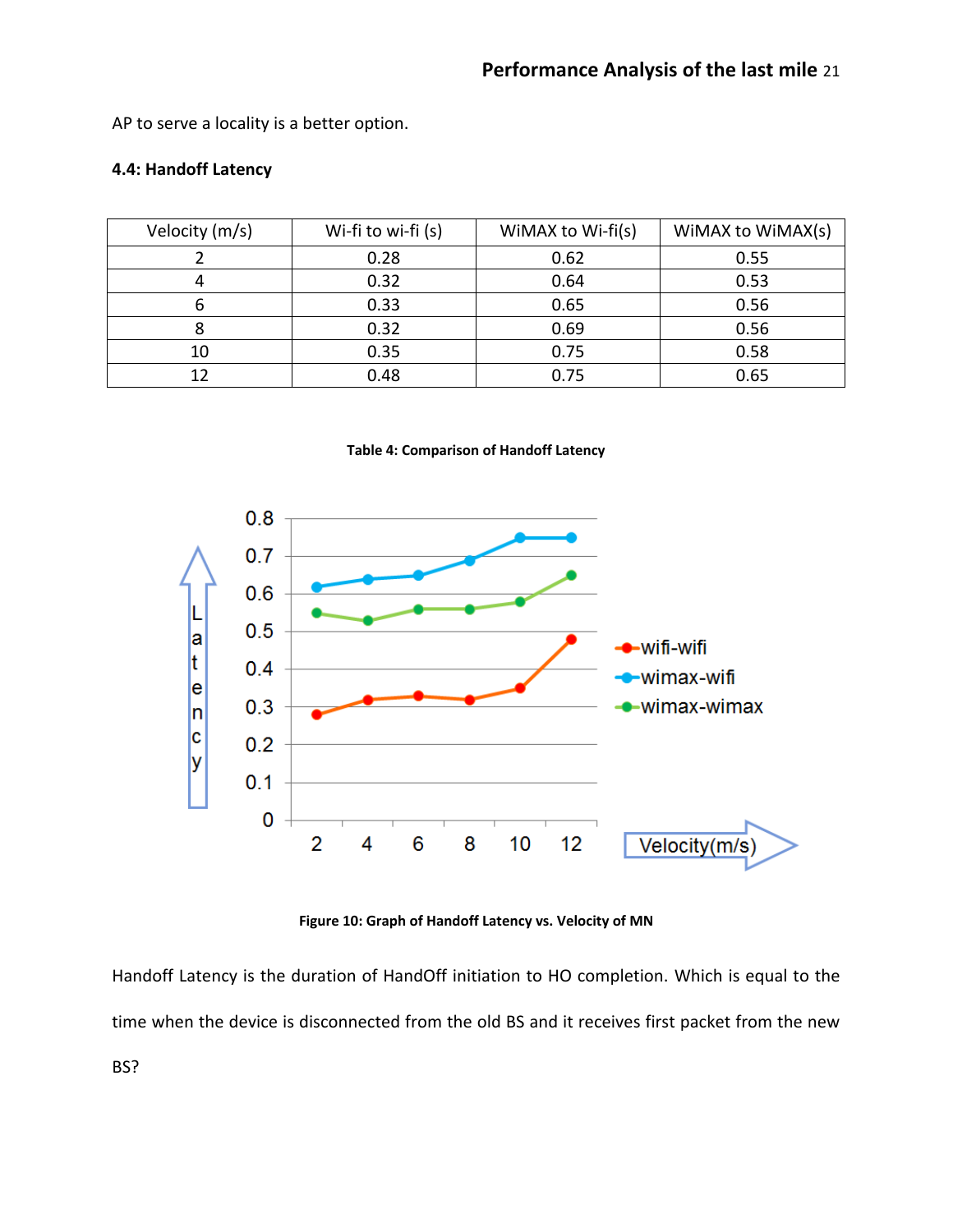AP to serve a locality is a better option.

## **4.4: Handoff Latency**

| Velocity (m/s) | Wi-fi to wi-fi (s) | WiMAX to Wi-fi(s) | WIMAX to WIMAX(s) |
|----------------|--------------------|-------------------|-------------------|
|                | 0.28               | 0.62              | 0.55              |
|                | 0.32               | 0.64              | 0.53              |
|                | 0.33               | 0.65              | 0.56              |
|                | 0.32               | 0.69              | 0.56              |
| 10             | 0.35               | 0.75              | 0.58              |
|                | 0.48               | 0.75              | 0.65              |

**Table 4: Comparison of Handoff Latency**



**Figure 10: Graph of Handoff Latency vs. Velocity of MN**

Handoff Latency is the duration of HandOff initiation to HO completion. Which is equal to the time when the device is disconnected from the old BS and it receives first packet from the new BS?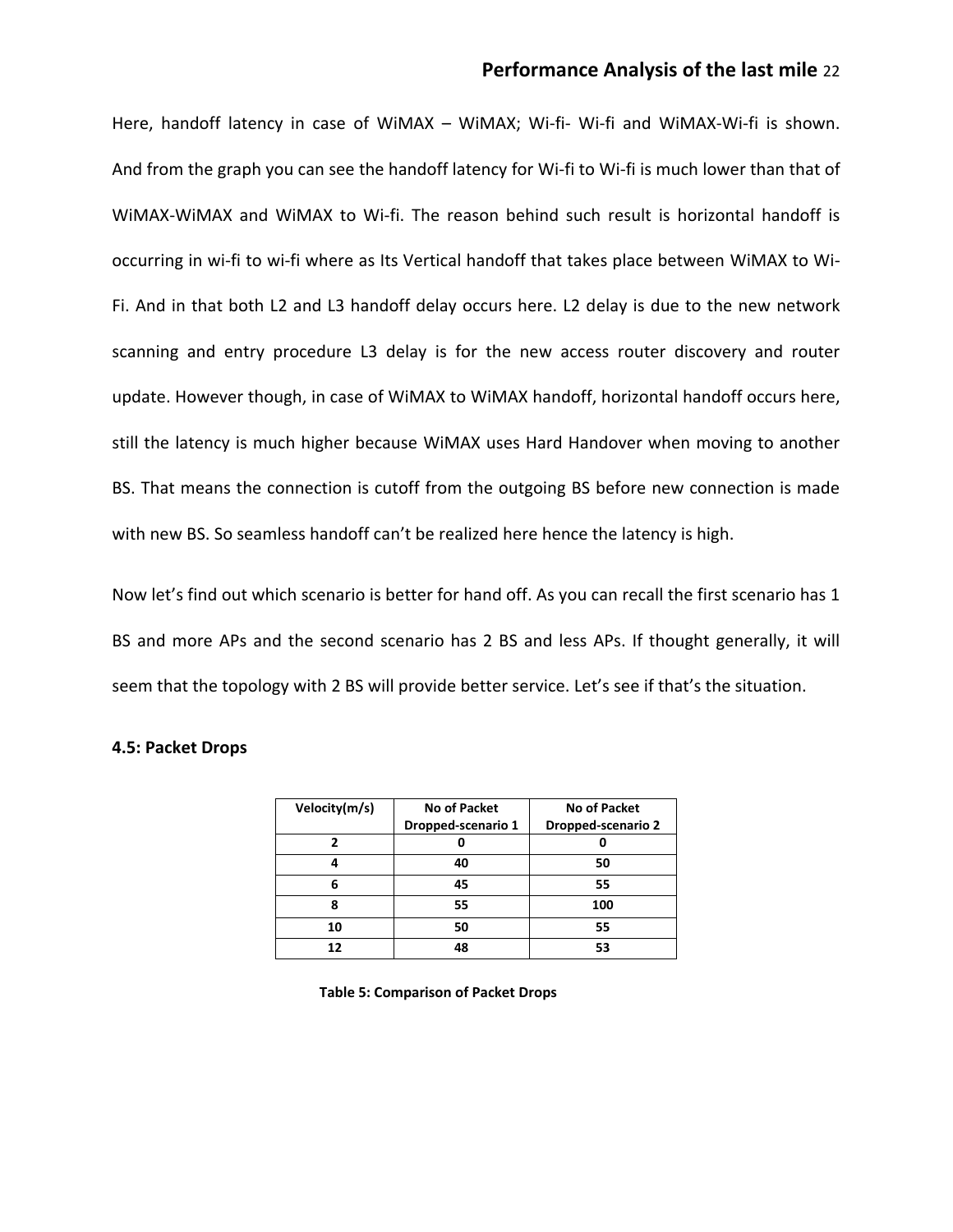# **Performance Analysis of the last mile** 22

Here, handoff latency in case of WiMAX – WiMAX; Wi-fi- Wi-fi and WiMAX-Wi-fi is shown. And from the graph you can see the handoff latency for Wi-fi to Wi-fi is much lower than that of WiMAX-WiMAX and WiMAX to Wi-fi. The reason behind such result is horizontal handoff is occurring in wi-fi to wi-fi where as Its Vertical handoff that takes place between WiMAX to Wi-Fi. And in that both L2 and L3 handoff delay occurs here. L2 delay is due to the new network scanning and entry procedure L3 delay is for the new access router discovery and router update. However though, in case of WiMAX to WiMAX handoff, horizontal handoff occurs here, still the latency is much higher because WiMAX uses Hard Handover when moving to another BS. That means the connection is cutoff from the outgoing BS before new connection is made with new BS. So seamless handoff can't be realized here hence the latency is high.

Now let's find out which scenario is better for hand off. As you can recall the first scenario has 1 BS and more APs and the second scenario has 2 BS and less APs. If thought generally, it will seem that the topology with 2 BS will provide better service. Let's see if that's the situation.

#### **4.5: Packet Drops**

| Velocity(m/s) | No of Packet       | <b>No of Packet</b> |
|---------------|--------------------|---------------------|
|               | Dropped-scenario 1 | Dropped-scenario 2  |
|               |                    |                     |
| Δ             | 40                 | 50                  |
| 6             | 45                 | 55                  |
| 8             | 55                 | 100                 |
| 10            | 50                 | 55                  |
| 17            | 48                 | 53                  |

**Table 5: Comparison of Packet Drops**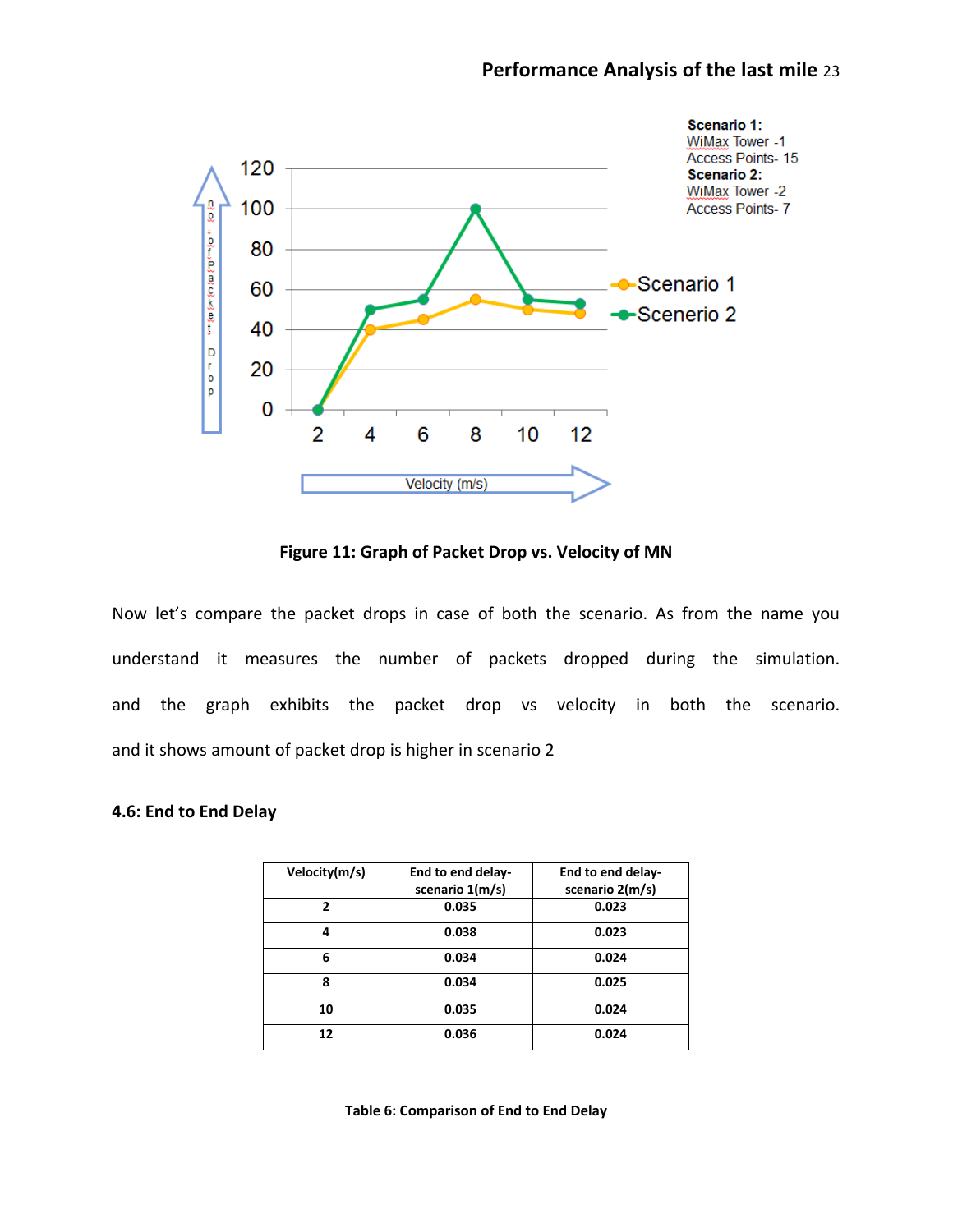

**Figure 11: Graph of Packet Drop vs. Velocity of MN**

Now let's compare the packet drops in case of both the scenario. As from the name you understand it measures the number of packets dropped during the simulation. and the graph exhibits the packet drop vs velocity in both the scenario. and it shows amount of packet drop is higher in scenario 2

#### **4.6: End to End Delay**

| Velocity(m/s) | End to end delay-<br>scenario 1(m/s) | End to end delay-<br>scenario 2(m/s) |
|---------------|--------------------------------------|--------------------------------------|
| 2             | 0.035                                | 0.023                                |
| 4             | 0.038                                | 0.023                                |
| 6             | 0.034                                | 0.024                                |
| 8             | 0.034                                | 0.025                                |
| 10            | 0.035                                | 0.024                                |
| 12            | 0.036                                | 0.024                                |

**Table 6: Comparison of End to End Delay**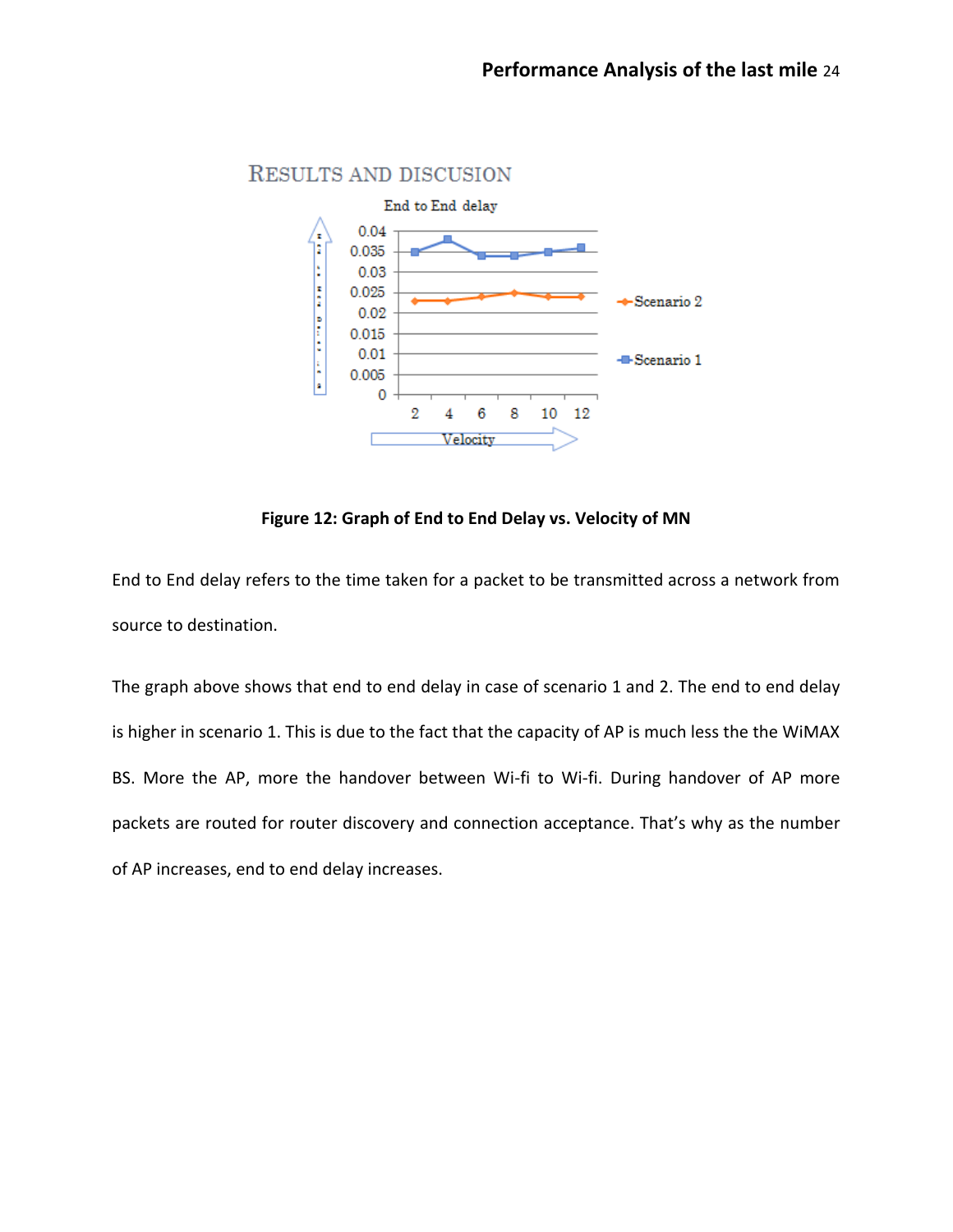

# RESULTS AND DISCUSION



End to End delay refers to the time taken for a packet to be transmitted across a network from source to destination.

The graph above shows that end to end delay in case of scenario 1 and 2. The end to end delay is higher in scenario 1. This is due to the fact that the capacity of AP is much less the the WiMAX BS. More the AP, more the handover between Wi-fi to Wi-fi. During handover of AP more packets are routed for router discovery and connection acceptance. That's why as the number of AP increases, end to end delay increases.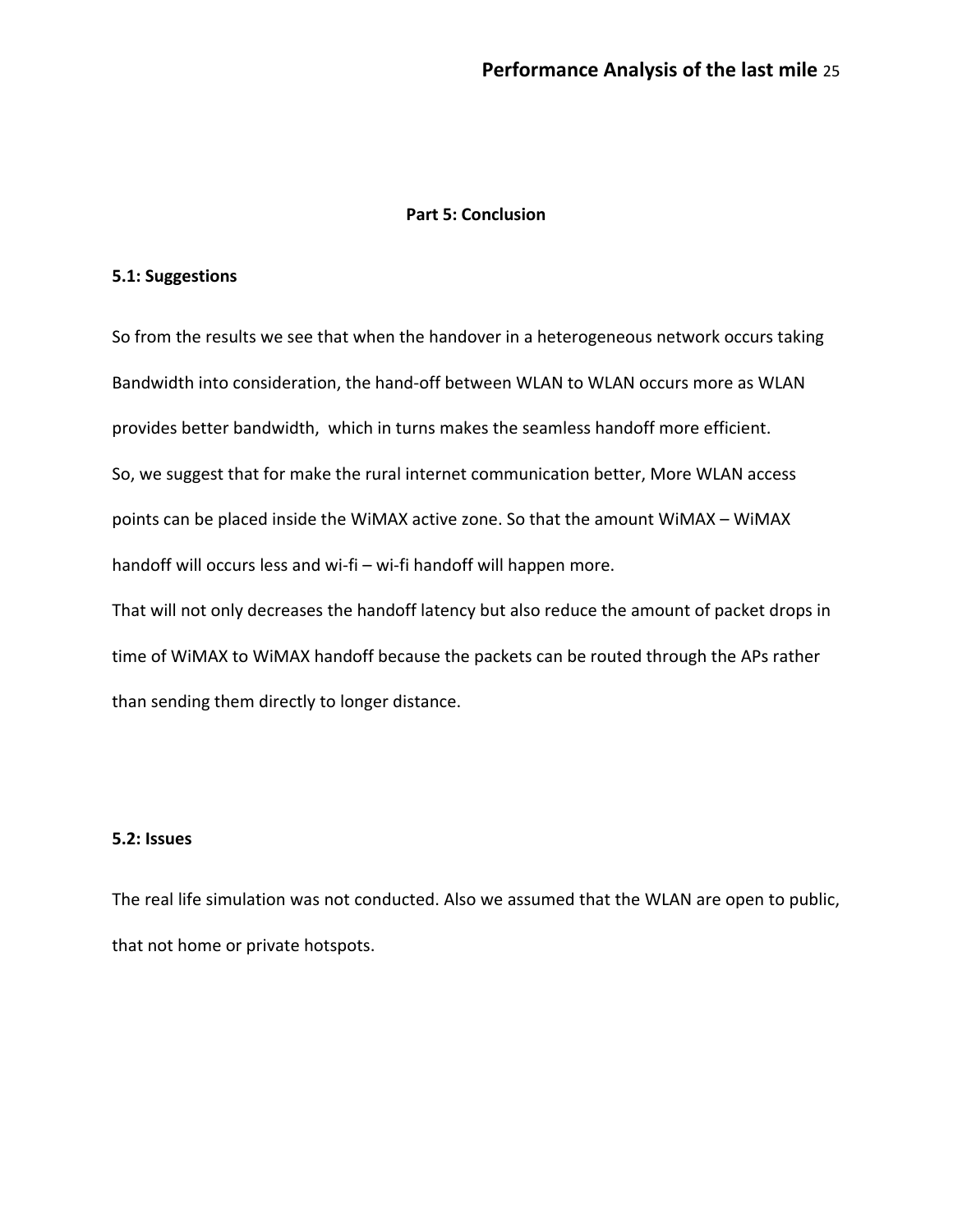#### **Part 5: Conclusion**

#### **5.1: Suggestions**

So from the results we see that when the handover in a heterogeneous network occurs taking Bandwidth into consideration, the hand-off between WLAN to WLAN occurs more as WLAN provides better bandwidth, which in turns makes the seamless handoff more efficient. So, we suggest that for make the rural internet communication better, More WLAN access points can be placed inside the WiMAX active zone. So that the amount WiMAX – WiMAX handoff will occurs less and wi-fi – wi-fi handoff will happen more. That will not only decreases the handoff latency but also reduce the amount of packet drops in time of WiMAX to WiMAX handoff because the packets can be routed through the APs rather than sending them directly to longer distance.

## **5.2: Issues**

The real life simulation was not conducted. Also we assumed that the WLAN are open to public, that not home or private hotspots.